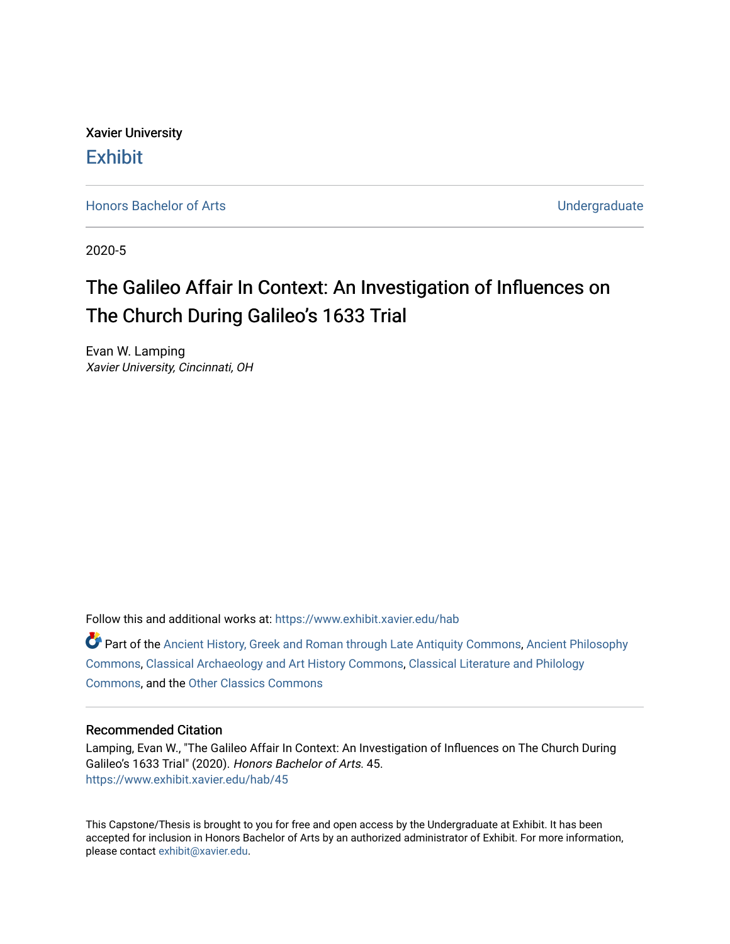Xavier University **Exhibit** 

[Honors Bachelor of Arts](https://www.exhibit.xavier.edu/hab) **No. 2018** 2019 12:30 No. 2019 12:30 No. 2019 12:30 No. 2019 12:30 No. 2019 12:30 No. 2019 12:30 No. 2019 12:30 No. 2019 12:30 No. 2019 12:30 No. 2019 12:30 No. 2019 12:30 No. 2019 12:30 No. 2019 12

2020-5

### The Galileo Affair In Context: An Investigation of Influences on The Church During Galileo's 1633 Trial

Evan W. Lamping Xavier University, Cincinnati, OH

Follow this and additional works at: [https://www.exhibit.xavier.edu/hab](https://www.exhibit.xavier.edu/hab?utm_source=www.exhibit.xavier.edu%2Fhab%2F45&utm_medium=PDF&utm_campaign=PDFCoverPages)

Part of the [Ancient History, Greek and Roman through Late Antiquity Commons](http://network.bepress.com/hgg/discipline/447?utm_source=www.exhibit.xavier.edu%2Fhab%2F45&utm_medium=PDF&utm_campaign=PDFCoverPages), [Ancient Philosophy](http://network.bepress.com/hgg/discipline/448?utm_source=www.exhibit.xavier.edu%2Fhab%2F45&utm_medium=PDF&utm_campaign=PDFCoverPages)  [Commons](http://network.bepress.com/hgg/discipline/448?utm_source=www.exhibit.xavier.edu%2Fhab%2F45&utm_medium=PDF&utm_campaign=PDFCoverPages), [Classical Archaeology and Art History Commons,](http://network.bepress.com/hgg/discipline/450?utm_source=www.exhibit.xavier.edu%2Fhab%2F45&utm_medium=PDF&utm_campaign=PDFCoverPages) [Classical Literature and Philology](http://network.bepress.com/hgg/discipline/451?utm_source=www.exhibit.xavier.edu%2Fhab%2F45&utm_medium=PDF&utm_campaign=PDFCoverPages) [Commons](http://network.bepress.com/hgg/discipline/451?utm_source=www.exhibit.xavier.edu%2Fhab%2F45&utm_medium=PDF&utm_campaign=PDFCoverPages), and the [Other Classics Commons](http://network.bepress.com/hgg/discipline/453?utm_source=www.exhibit.xavier.edu%2Fhab%2F45&utm_medium=PDF&utm_campaign=PDFCoverPages) 

#### Recommended Citation

Lamping, Evan W., "The Galileo Affair In Context: An Investigation of Influences on The Church During Galileo's 1633 Trial" (2020). Honors Bachelor of Arts. 45. [https://www.exhibit.xavier.edu/hab/45](https://www.exhibit.xavier.edu/hab/45?utm_source=www.exhibit.xavier.edu%2Fhab%2F45&utm_medium=PDF&utm_campaign=PDFCoverPages) 

This Capstone/Thesis is brought to you for free and open access by the Undergraduate at Exhibit. It has been accepted for inclusion in Honors Bachelor of Arts by an authorized administrator of Exhibit. For more information, please contact [exhibit@xavier.edu.](mailto:exhibit@xavier.edu)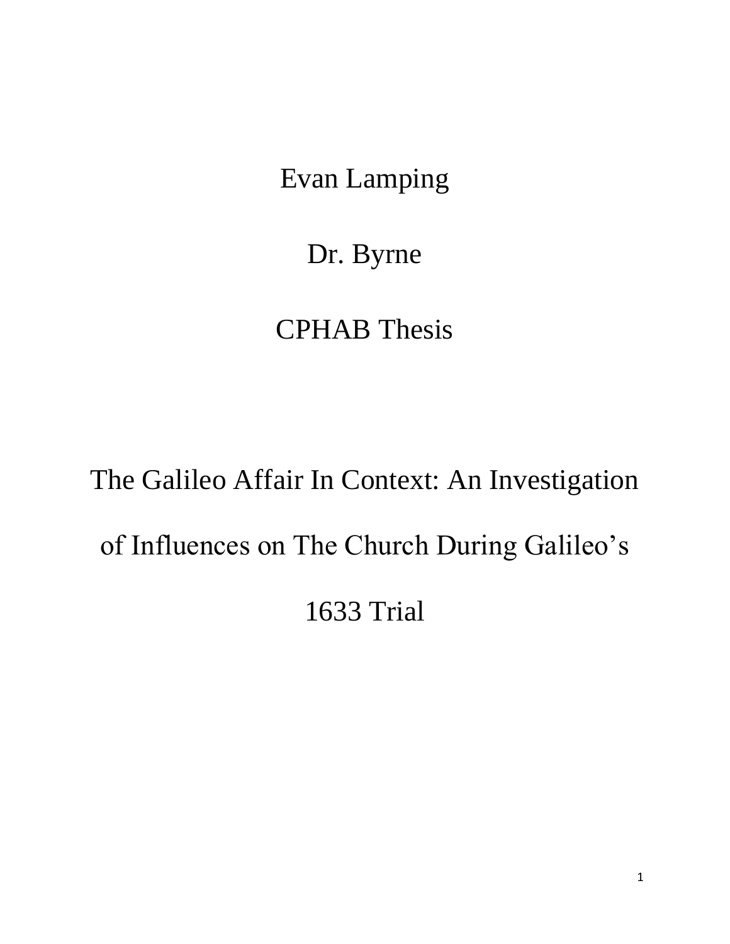Evan Lamping

Dr. Byrne

## CPHAB Thesis

# The Galileo Affair In Context: An Investigation of Influences on The Church During Galileo's 1633 Trial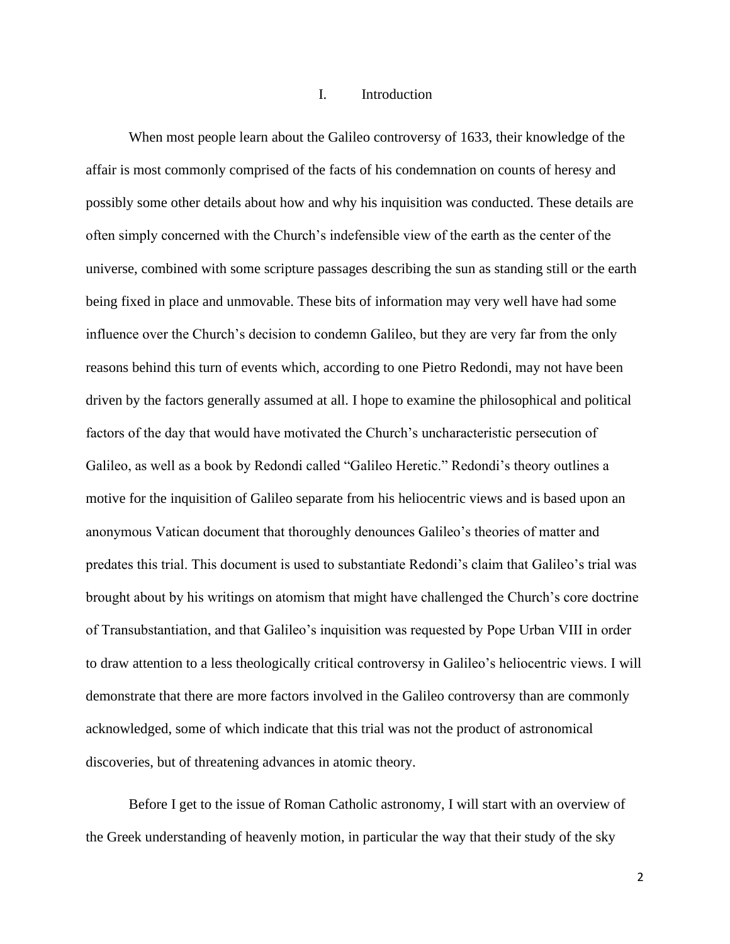#### I. Introduction

When most people learn about the Galileo controversy of 1633, their knowledge of the affair is most commonly comprised of the facts of his condemnation on counts of heresy and possibly some other details about how and why his inquisition was conducted. These details are often simply concerned with the Church's indefensible view of the earth as the center of the universe, combined with some scripture passages describing the sun as standing still or the earth being fixed in place and unmovable. These bits of information may very well have had some influence over the Church's decision to condemn Galileo, but they are very far from the only reasons behind this turn of events which, according to one Pietro Redondi, may not have been driven by the factors generally assumed at all. I hope to examine the philosophical and political factors of the day that would have motivated the Church's uncharacteristic persecution of Galileo, as well as a book by Redondi called "Galileo Heretic." Redondi's theory outlines a motive for the inquisition of Galileo separate from his heliocentric views and is based upon an anonymous Vatican document that thoroughly denounces Galileo's theories of matter and predates this trial. This document is used to substantiate Redondi's claim that Galileo's trial was brought about by his writings on atomism that might have challenged the Church's core doctrine of Transubstantiation, and that Galileo's inquisition was requested by Pope Urban VIII in order to draw attention to a less theologically critical controversy in Galileo's heliocentric views. I will demonstrate that there are more factors involved in the Galileo controversy than are commonly acknowledged, some of which indicate that this trial was not the product of astronomical discoveries, but of threatening advances in atomic theory.

Before I get to the issue of Roman Catholic astronomy, I will start with an overview of the Greek understanding of heavenly motion, in particular the way that their study of the sky

2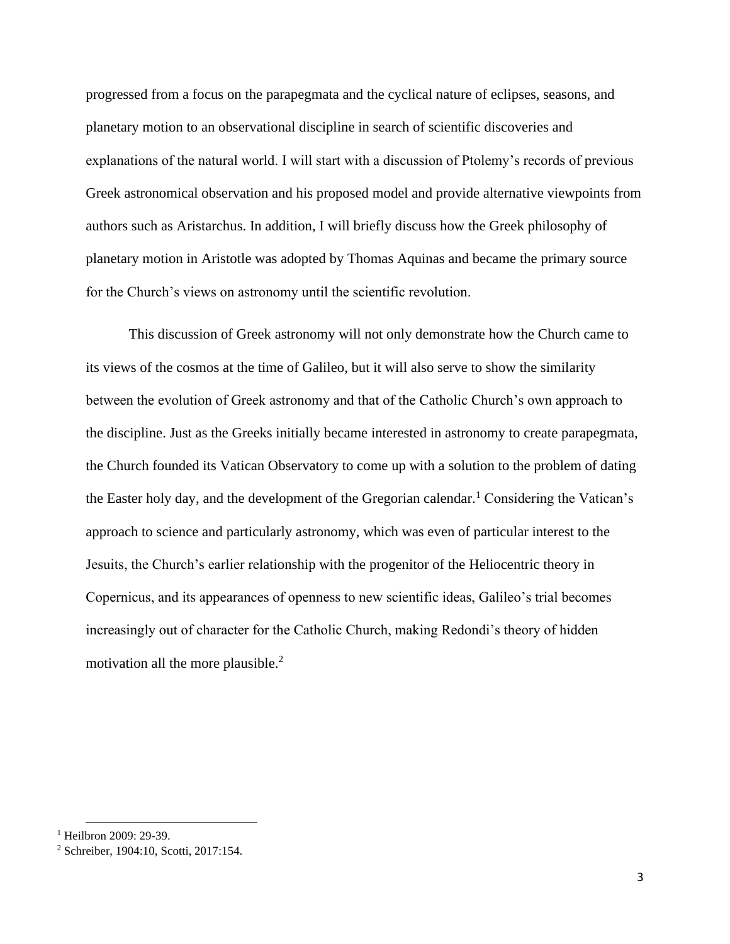progressed from a focus on the parapegmata and the cyclical nature of eclipses, seasons, and planetary motion to an observational discipline in search of scientific discoveries and explanations of the natural world. I will start with a discussion of Ptolemy's records of previous Greek astronomical observation and his proposed model and provide alternative viewpoints from authors such as Aristarchus. In addition, I will briefly discuss how the Greek philosophy of planetary motion in Aristotle was adopted by Thomas Aquinas and became the primary source for the Church's views on astronomy until the scientific revolution.

This discussion of Greek astronomy will not only demonstrate how the Church came to its views of the cosmos at the time of Galileo, but it will also serve to show the similarity between the evolution of Greek astronomy and that of the Catholic Church's own approach to the discipline. Just as the Greeks initially became interested in astronomy to create parapegmata, the Church founded its Vatican Observatory to come up with a solution to the problem of dating the Easter holy day, and the development of the Gregorian calendar.<sup>1</sup> Considering the Vatican's approach to science and particularly astronomy, which was even of particular interest to the Jesuits, the Church's earlier relationship with the progenitor of the Heliocentric theory in Copernicus, and its appearances of openness to new scientific ideas, Galileo's trial becomes increasingly out of character for the Catholic Church, making Redondi's theory of hidden motivation all the more plausible.<sup>2</sup>

 $1$  Heilbron 2009: 29-39.

<sup>2</sup> Schreiber, 1904:10, Scotti, 2017:154.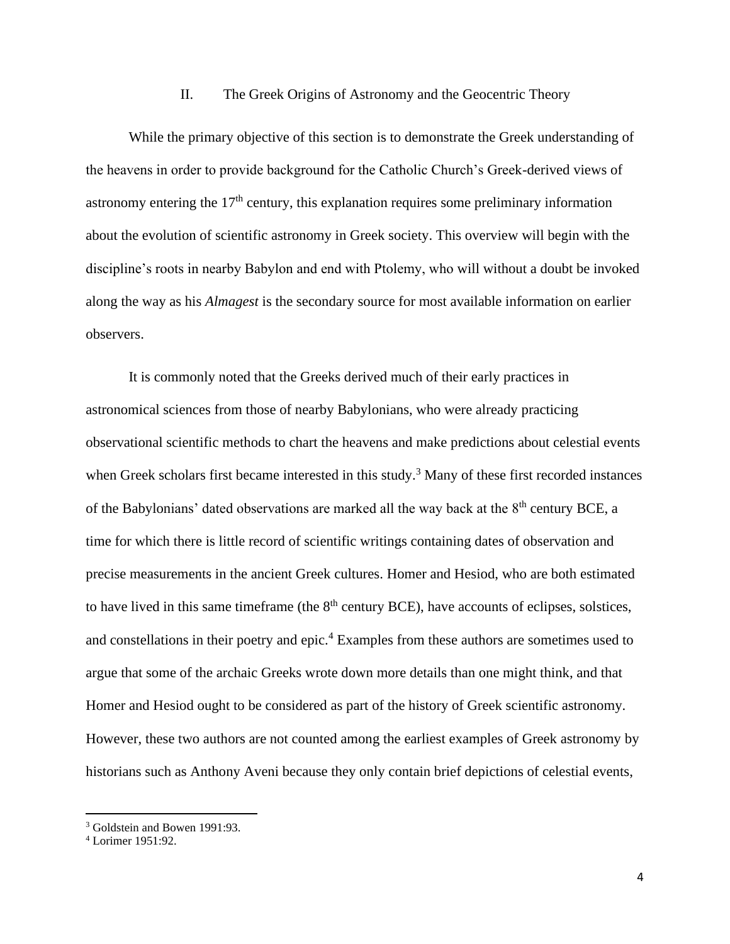#### II. The Greek Origins of Astronomy and the Geocentric Theory

While the primary objective of this section is to demonstrate the Greek understanding of the heavens in order to provide background for the Catholic Church's Greek-derived views of astronomy entering the  $17<sup>th</sup>$  century, this explanation requires some preliminary information about the evolution of scientific astronomy in Greek society. This overview will begin with the discipline's roots in nearby Babylon and end with Ptolemy, who will without a doubt be invoked along the way as his *Almagest* is the secondary source for most available information on earlier observers.

It is commonly noted that the Greeks derived much of their early practices in astronomical sciences from those of nearby Babylonians, who were already practicing observational scientific methods to chart the heavens and make predictions about celestial events when Greek scholars first became interested in this study.<sup>3</sup> Many of these first recorded instances of the Babylonians' dated observations are marked all the way back at the  $8<sup>th</sup>$  century BCE, a time for which there is little record of scientific writings containing dates of observation and precise measurements in the ancient Greek cultures. Homer and Hesiod, who are both estimated to have lived in this same timeframe (the  $8<sup>th</sup>$  century BCE), have accounts of eclipses, solstices, and constellations in their poetry and epic.<sup>4</sup> Examples from these authors are sometimes used to argue that some of the archaic Greeks wrote down more details than one might think, and that Homer and Hesiod ought to be considered as part of the history of Greek scientific astronomy. However, these two authors are not counted among the earliest examples of Greek astronomy by historians such as Anthony Aveni because they only contain brief depictions of celestial events,

<sup>3</sup> Goldstein and Bowen 1991:93.

<sup>4</sup> Lorimer 1951:92.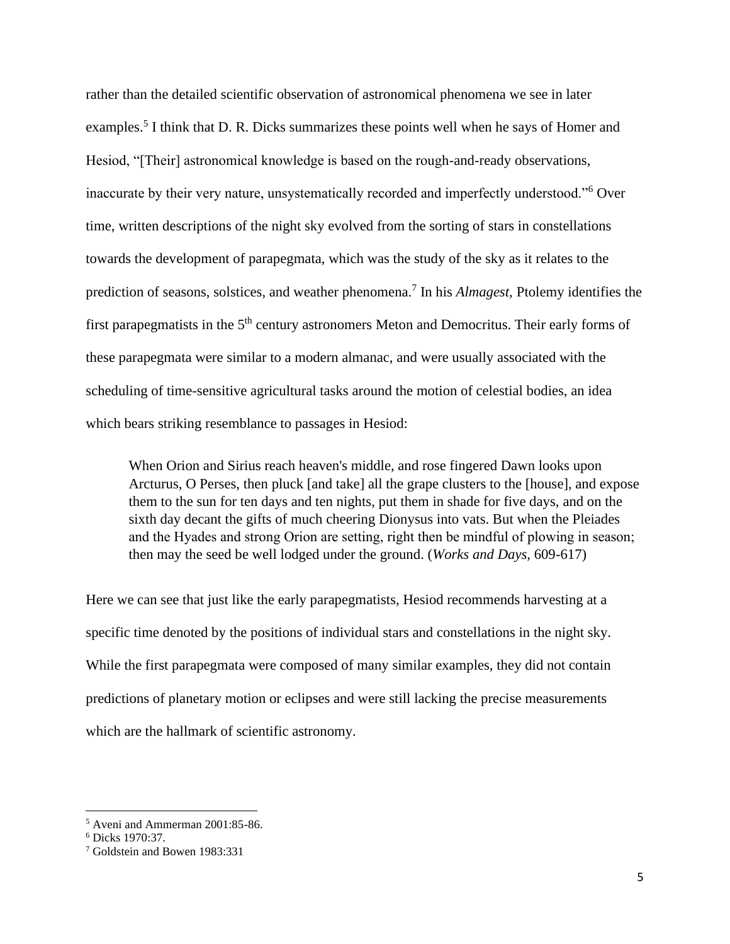rather than the detailed scientific observation of astronomical phenomena we see in later examples.<sup>5</sup> I think that D. R. Dicks summarizes these points well when he says of Homer and Hesiod, "[Their] astronomical knowledge is based on the rough-and-ready observations, inaccurate by their very nature, unsystematically recorded and imperfectly understood."<sup>6</sup> Over time, written descriptions of the night sky evolved from the sorting of stars in constellations towards the development of parapegmata, which was the study of the sky as it relates to the prediction of seasons, solstices, and weather phenomena.<sup>7</sup> In his *Almagest*, Ptolemy identifies the first parapegmatists in the 5<sup>th</sup> century astronomers Meton and Democritus. Their early forms of these parapegmata were similar to a modern almanac, and were usually associated with the scheduling of time-sensitive agricultural tasks around the motion of celestial bodies, an idea which bears striking resemblance to passages in Hesiod:

When Orion and Sirius reach heaven's middle, and rose fingered Dawn looks upon Arcturus, O Perses, then pluck [and take] all the grape clusters to the [house], and expose them to the sun for ten days and ten nights, put them in shade for five days, and on the sixth day decant the gifts of much cheering Dionysus into vats. But when the Pleiades and the Hyades and strong Orion are setting, right then be mindful of plowing in season; then may the seed be well lodged under the ground. (*Works and Days*, 609-617)

Here we can see that just like the early parapegmatists, Hesiod recommends harvesting at a specific time denoted by the positions of individual stars and constellations in the night sky. While the first parapegmata were composed of many similar examples, they did not contain predictions of planetary motion or eclipses and were still lacking the precise measurements which are the hallmark of scientific astronomy.

<sup>5</sup> Aveni and Ammerman 2001:85-86.

<sup>6</sup> Dicks 1970:37.

<sup>7</sup> Goldstein and Bowen 1983:331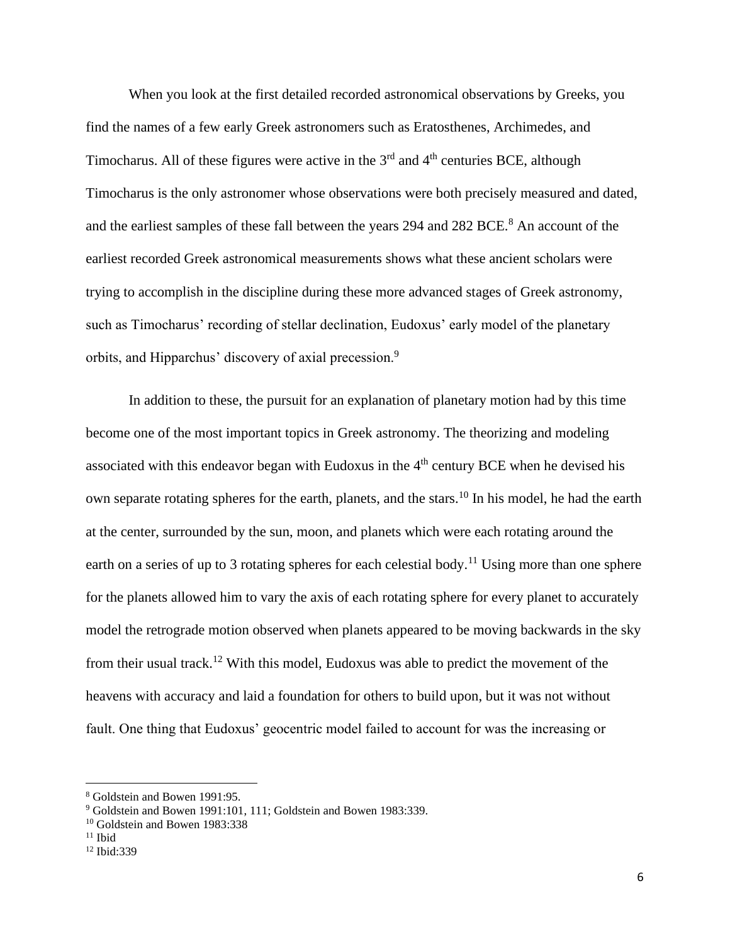When you look at the first detailed recorded astronomical observations by Greeks, you find the names of a few early Greek astronomers such as Eratosthenes, Archimedes, and Timocharus. All of these figures were active in the  $3<sup>rd</sup>$  and  $4<sup>th</sup>$  centuries BCE, although Timocharus is the only astronomer whose observations were both precisely measured and dated, and the earliest samples of these fall between the years 294 and 282 BCE.<sup>8</sup> An account of the earliest recorded Greek astronomical measurements shows what these ancient scholars were trying to accomplish in the discipline during these more advanced stages of Greek astronomy, such as Timocharus' recording of stellar declination, Eudoxus' early model of the planetary orbits, and Hipparchus' discovery of axial precession.<sup>9</sup>

In addition to these, the pursuit for an explanation of planetary motion had by this time become one of the most important topics in Greek astronomy. The theorizing and modeling associated with this endeavor began with Eudoxus in the  $4<sup>th</sup>$  century BCE when he devised his own separate rotating spheres for the earth, planets, and the stars.<sup>10</sup> In his model, he had the earth at the center, surrounded by the sun, moon, and planets which were each rotating around the earth on a series of up to 3 rotating spheres for each celestial body.<sup>11</sup> Using more than one sphere for the planets allowed him to vary the axis of each rotating sphere for every planet to accurately model the retrograde motion observed when planets appeared to be moving backwards in the sky from their usual track.<sup>12</sup> With this model, Eudoxus was able to predict the movement of the heavens with accuracy and laid a foundation for others to build upon, but it was not without fault. One thing that Eudoxus' geocentric model failed to account for was the increasing or

<sup>8</sup> Goldstein and Bowen 1991:95.

<sup>&</sup>lt;sup>9</sup> Goldstein and Bowen 1991:101, 111; Goldstein and Bowen 1983:339.

<sup>&</sup>lt;sup>10</sup> Goldstein and Bowen 1983:338

 $11$  Ibid

<sup>12</sup> Ibid:339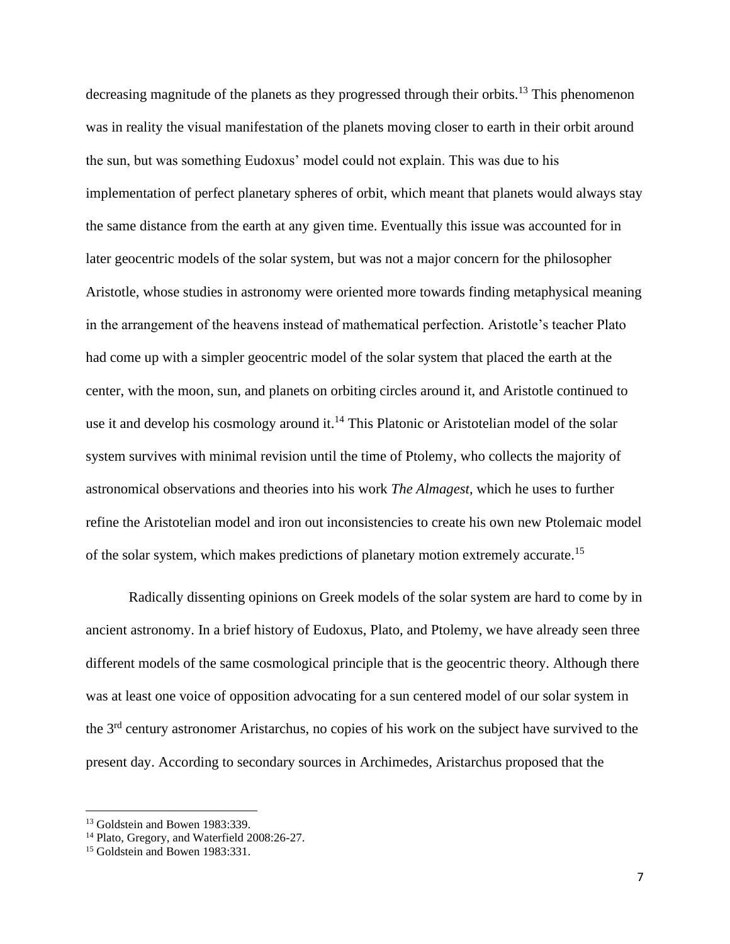decreasing magnitude of the planets as they progressed through their orbits.<sup>13</sup> This phenomenon was in reality the visual manifestation of the planets moving closer to earth in their orbit around the sun, but was something Eudoxus' model could not explain. This was due to his implementation of perfect planetary spheres of orbit, which meant that planets would always stay the same distance from the earth at any given time. Eventually this issue was accounted for in later geocentric models of the solar system, but was not a major concern for the philosopher Aristotle, whose studies in astronomy were oriented more towards finding metaphysical meaning in the arrangement of the heavens instead of mathematical perfection. Aristotle's teacher Plato had come up with a simpler geocentric model of the solar system that placed the earth at the center, with the moon, sun, and planets on orbiting circles around it, and Aristotle continued to use it and develop his cosmology around it.<sup>14</sup> This Platonic or Aristotelian model of the solar system survives with minimal revision until the time of Ptolemy, who collects the majority of astronomical observations and theories into his work *The Almagest*, which he uses to further refine the Aristotelian model and iron out inconsistencies to create his own new Ptolemaic model of the solar system, which makes predictions of planetary motion extremely accurate.<sup>15</sup>

Radically dissenting opinions on Greek models of the solar system are hard to come by in ancient astronomy. In a brief history of Eudoxus, Plato, and Ptolemy, we have already seen three different models of the same cosmological principle that is the geocentric theory. Although there was at least one voice of opposition advocating for a sun centered model of our solar system in the 3<sup>rd</sup> century astronomer Aristarchus, no copies of his work on the subject have survived to the present day. According to secondary sources in Archimedes, Aristarchus proposed that the

<sup>&</sup>lt;sup>13</sup> Goldstein and Bowen 1983:339.

<sup>&</sup>lt;sup>14</sup> Plato, Gregory, and Waterfield 2008:26-27.

<sup>&</sup>lt;sup>15</sup> Goldstein and Bowen 1983:331.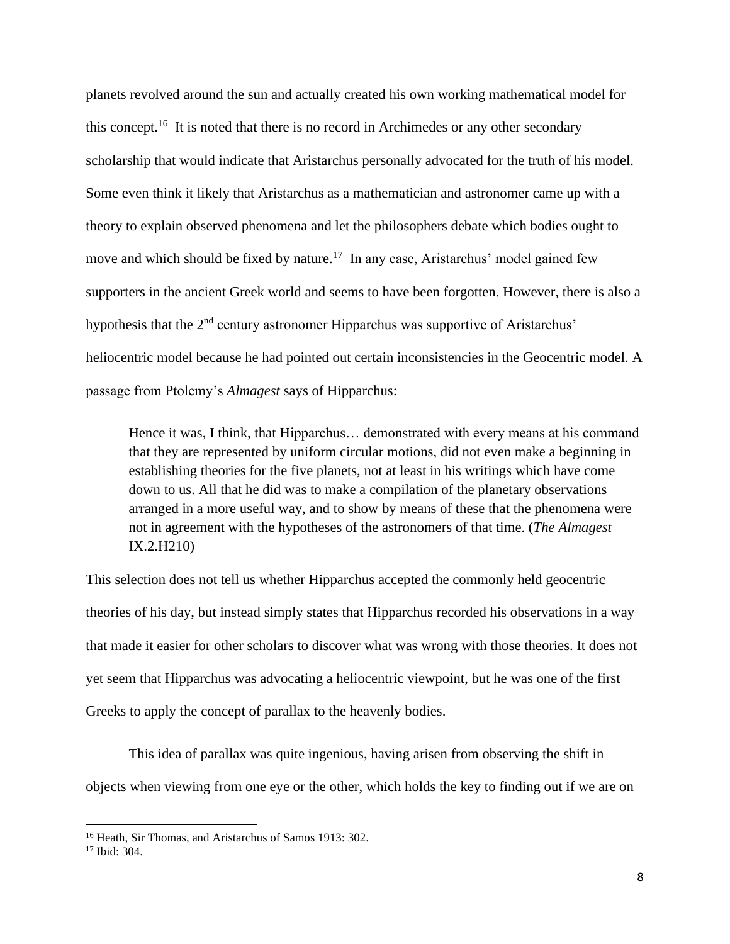planets revolved around the sun and actually created his own working mathematical model for this concept.<sup>16</sup> It is noted that there is no record in Archimedes or any other secondary scholarship that would indicate that Aristarchus personally advocated for the truth of his model. Some even think it likely that Aristarchus as a mathematician and astronomer came up with a theory to explain observed phenomena and let the philosophers debate which bodies ought to move and which should be fixed by nature.<sup>17</sup> In any case, Aristarchus' model gained few supporters in the ancient Greek world and seems to have been forgotten. However, there is also a hypothesis that the  $2<sup>nd</sup>$  century astronomer Hipparchus was supportive of Aristarchus' heliocentric model because he had pointed out certain inconsistencies in the Geocentric model. A passage from Ptolemy's *Almagest* says of Hipparchus:

Hence it was, I think, that Hipparchus… demonstrated with every means at his command that they are represented by uniform circular motions, did not even make a beginning in establishing theories for the five planets, not at least in his writings which have come down to us. All that he did was to make a compilation of the planetary observations arranged in a more useful way, and to show by means of these that the phenomena were not in agreement with the hypotheses of the astronomers of that time. (*The Almagest*  IX.2.H210)

This selection does not tell us whether Hipparchus accepted the commonly held geocentric theories of his day, but instead simply states that Hipparchus recorded his observations in a way that made it easier for other scholars to discover what was wrong with those theories. It does not yet seem that Hipparchus was advocating a heliocentric viewpoint, but he was one of the first Greeks to apply the concept of parallax to the heavenly bodies.

This idea of parallax was quite ingenious, having arisen from observing the shift in objects when viewing from one eye or the other, which holds the key to finding out if we are on

<sup>16</sup> Heath, Sir Thomas, and Aristarchus of Samos 1913: 302.

<sup>17</sup> Ibid: 304.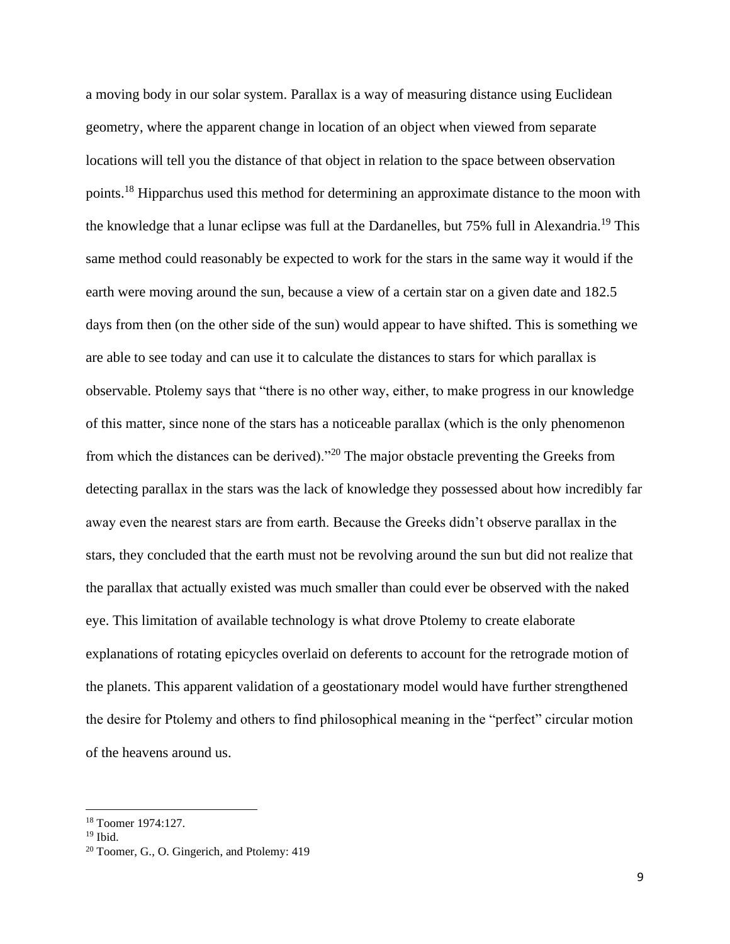a moving body in our solar system. Parallax is a way of measuring distance using Euclidean geometry, where the apparent change in location of an object when viewed from separate locations will tell you the distance of that object in relation to the space between observation points.<sup>18</sup> Hipparchus used this method for determining an approximate distance to the moon with the knowledge that a lunar eclipse was full at the Dardanelles, but 75% full in Alexandria.<sup>19</sup> This same method could reasonably be expected to work for the stars in the same way it would if the earth were moving around the sun, because a view of a certain star on a given date and 182.5 days from then (on the other side of the sun) would appear to have shifted. This is something we are able to see today and can use it to calculate the distances to stars for which parallax is observable. Ptolemy says that "there is no other way, either, to make progress in our knowledge of this matter, since none of the stars has a noticeable parallax (which is the only phenomenon from which the distances can be derived)."<sup>20</sup> The major obstacle preventing the Greeks from detecting parallax in the stars was the lack of knowledge they possessed about how incredibly far away even the nearest stars are from earth. Because the Greeks didn't observe parallax in the stars, they concluded that the earth must not be revolving around the sun but did not realize that the parallax that actually existed was much smaller than could ever be observed with the naked eye. This limitation of available technology is what drove Ptolemy to create elaborate explanations of rotating epicycles overlaid on deferents to account for the retrograde motion of the planets. This apparent validation of a geostationary model would have further strengthened the desire for Ptolemy and others to find philosophical meaning in the "perfect" circular motion of the heavens around us.

<sup>18</sup> Toomer 1974:127.

 $19$  Ibid.

<sup>20</sup> Toomer, G., O. Gingerich, and Ptolemy: 419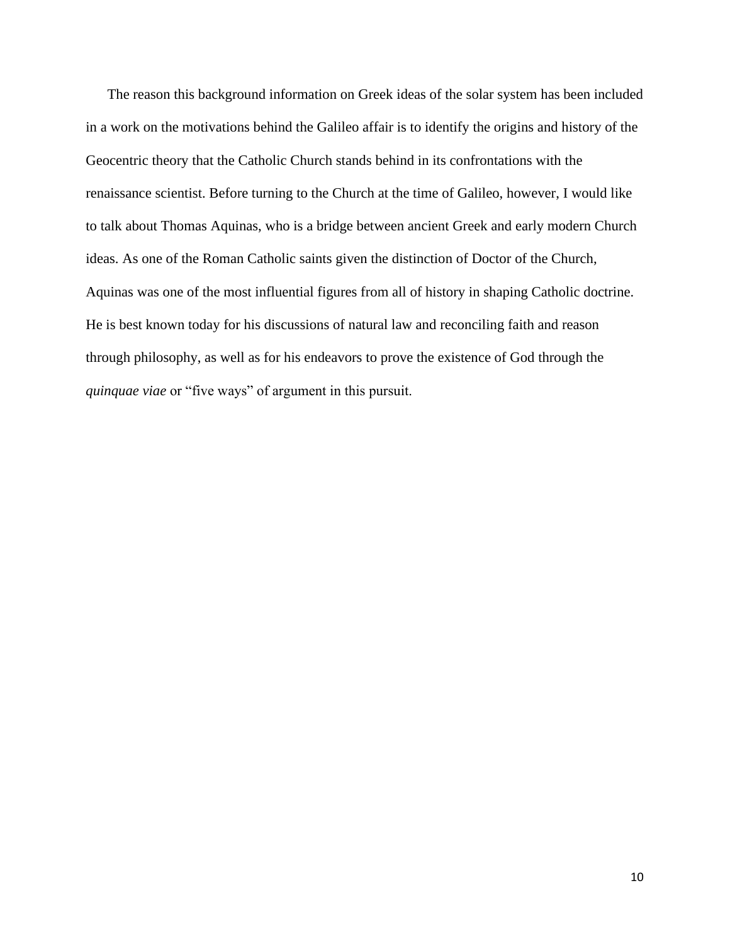The reason this background information on Greek ideas of the solar system has been included in a work on the motivations behind the Galileo affair is to identify the origins and history of the Geocentric theory that the Catholic Church stands behind in its confrontations with the renaissance scientist. Before turning to the Church at the time of Galileo, however, I would like to talk about Thomas Aquinas, who is a bridge between ancient Greek and early modern Church ideas. As one of the Roman Catholic saints given the distinction of Doctor of the Church, Aquinas was one of the most influential figures from all of history in shaping Catholic doctrine. He is best known today for his discussions of natural law and reconciling faith and reason through philosophy, as well as for his endeavors to prove the existence of God through the *quinquae viae* or "five ways" of argument in this pursuit.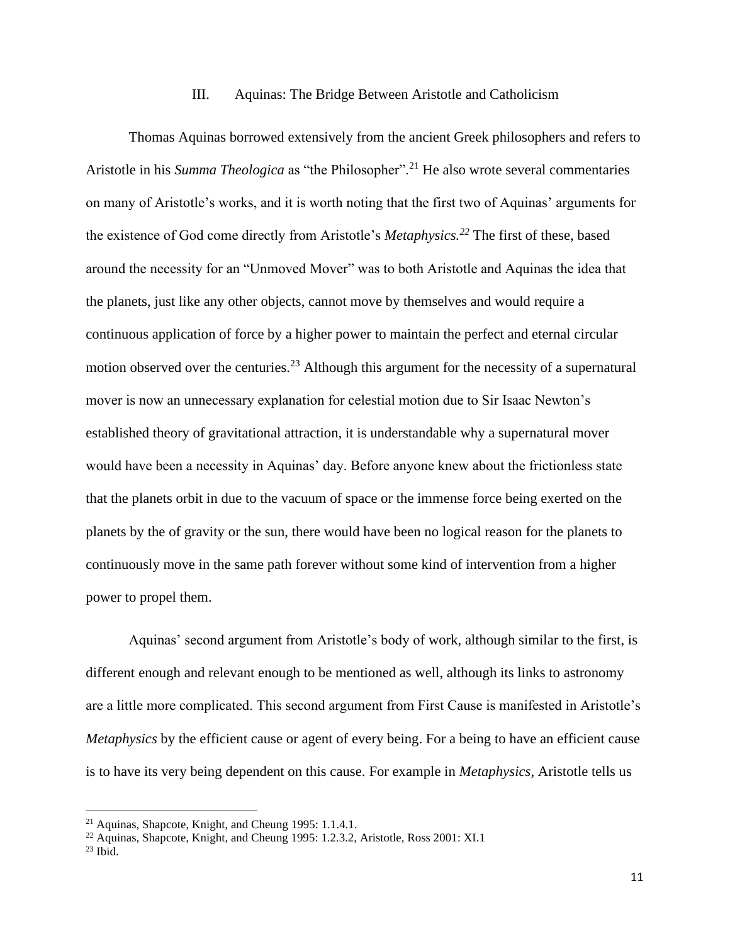#### III. Aquinas: The Bridge Between Aristotle and Catholicism

Thomas Aquinas borrowed extensively from the ancient Greek philosophers and refers to Aristotle in his *Summa Theologica* as "the Philosopher".<sup>21</sup> He also wrote several commentaries on many of Aristotle's works, and it is worth noting that the first two of Aquinas' arguments for the existence of God come directly from Aristotle's *Metaphysics.<sup>22</sup>* The first of these, based around the necessity for an "Unmoved Mover" was to both Aristotle and Aquinas the idea that the planets, just like any other objects, cannot move by themselves and would require a continuous application of force by a higher power to maintain the perfect and eternal circular motion observed over the centuries.<sup>23</sup> Although this argument for the necessity of a supernatural mover is now an unnecessary explanation for celestial motion due to Sir Isaac Newton's established theory of gravitational attraction, it is understandable why a supernatural mover would have been a necessity in Aquinas' day. Before anyone knew about the frictionless state that the planets orbit in due to the vacuum of space or the immense force being exerted on the planets by the of gravity or the sun, there would have been no logical reason for the planets to continuously move in the same path forever without some kind of intervention from a higher power to propel them.

Aquinas' second argument from Aristotle's body of work, although similar to the first, is different enough and relevant enough to be mentioned as well, although its links to astronomy are a little more complicated. This second argument from First Cause is manifested in Aristotle's *Metaphysics* by the efficient cause or agent of every being. For a being to have an efficient cause is to have its very being dependent on this cause. For example in *Metaphysics,* Aristotle tells us

<sup>21</sup> Aquinas, Shapcote, Knight, and Cheung 1995: 1.1.4.1.

<sup>&</sup>lt;sup>22</sup> Aquinas, Shapcote, Knight, and Cheung 1995: 1.2.3.2, Aristotle, Ross 2001: XI.1

 $23$  Ibid.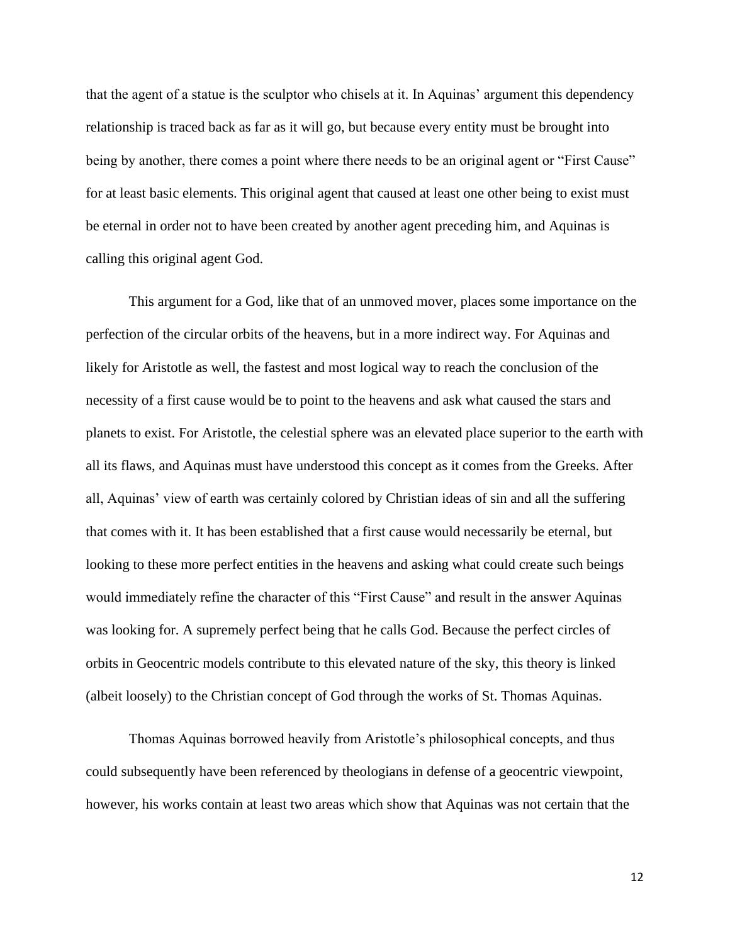that the agent of a statue is the sculptor who chisels at it. In Aquinas' argument this dependency relationship is traced back as far as it will go, but because every entity must be brought into being by another, there comes a point where there needs to be an original agent or "First Cause" for at least basic elements. This original agent that caused at least one other being to exist must be eternal in order not to have been created by another agent preceding him, and Aquinas is calling this original agent God.

This argument for a God, like that of an unmoved mover, places some importance on the perfection of the circular orbits of the heavens, but in a more indirect way. For Aquinas and likely for Aristotle as well, the fastest and most logical way to reach the conclusion of the necessity of a first cause would be to point to the heavens and ask what caused the stars and planets to exist. For Aristotle, the celestial sphere was an elevated place superior to the earth with all its flaws, and Aquinas must have understood this concept as it comes from the Greeks. After all, Aquinas' view of earth was certainly colored by Christian ideas of sin and all the suffering that comes with it. It has been established that a first cause would necessarily be eternal, but looking to these more perfect entities in the heavens and asking what could create such beings would immediately refine the character of this "First Cause" and result in the answer Aquinas was looking for. A supremely perfect being that he calls God. Because the perfect circles of orbits in Geocentric models contribute to this elevated nature of the sky, this theory is linked (albeit loosely) to the Christian concept of God through the works of St. Thomas Aquinas.

Thomas Aquinas borrowed heavily from Aristotle's philosophical concepts, and thus could subsequently have been referenced by theologians in defense of a geocentric viewpoint, however, his works contain at least two areas which show that Aquinas was not certain that the

12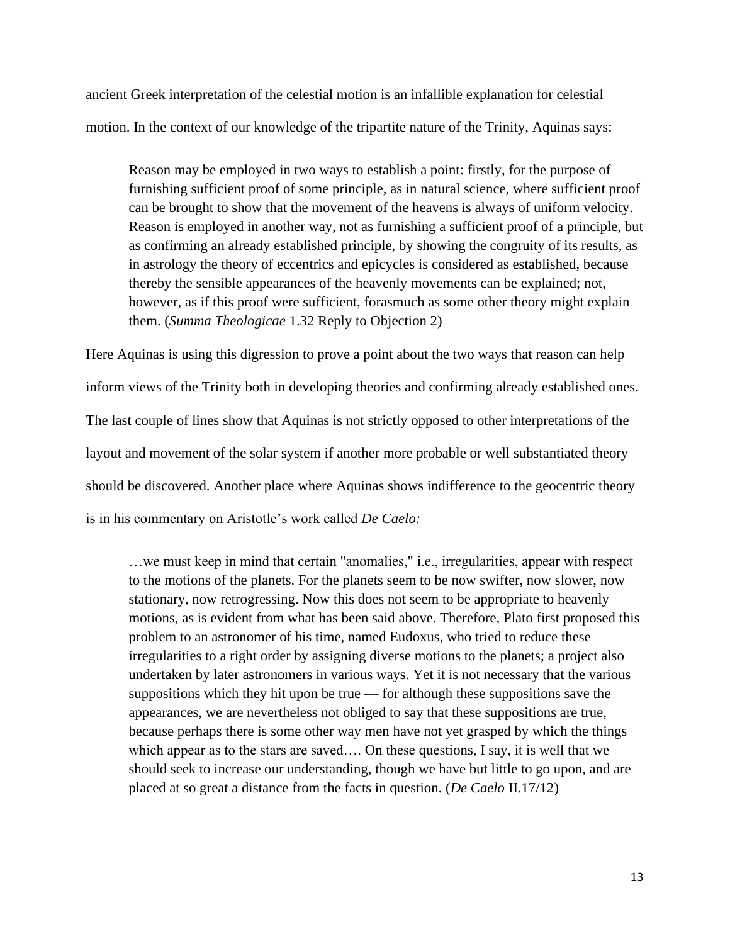ancient Greek interpretation of the celestial motion is an infallible explanation for celestial motion. In the context of our knowledge of the tripartite nature of the Trinity, Aquinas says:

Reason may be employed in two ways to establish a point: firstly, for the purpose of furnishing sufficient proof of some principle, as in natural science, where sufficient proof can be brought to show that the movement of the heavens is always of uniform velocity. Reason is employed in another way, not as furnishing a sufficient proof of a principle, but as confirming an already established principle, by showing the congruity of its results, as in astrology the theory of eccentrics and epicycles is considered as established, because thereby the sensible appearances of the heavenly movements can be explained; not, however, as if this proof were sufficient, forasmuch as some other theory might explain them. (*Summa Theologicae* 1.32 Reply to Objection 2)

Here Aquinas is using this digression to prove a point about the two ways that reason can help inform views of the Trinity both in developing theories and confirming already established ones. The last couple of lines show that Aquinas is not strictly opposed to other interpretations of the layout and movement of the solar system if another more probable or well substantiated theory should be discovered. Another place where Aquinas shows indifference to the geocentric theory is in his commentary on Aristotle's work called *De Caelo:*

…we must keep in mind that certain "anomalies," i.e., irregularities, appear with respect to the motions of the planets. For the planets seem to be now swifter, now slower, now stationary, now retrogressing. Now this does not seem to be appropriate to heavenly motions, as is evident from what has been said above. Therefore, Plato first proposed this problem to an astronomer of his time, named Eudoxus, who tried to reduce these irregularities to a right order by assigning diverse motions to the planets; a project also undertaken by later astronomers in various ways. Yet it is not necessary that the various suppositions which they hit upon be true — for although these suppositions save the appearances, we are nevertheless not obliged to say that these suppositions are true, because perhaps there is some other way men have not yet grasped by which the things which appear as to the stars are saved…. On these questions, I say, it is well that we should seek to increase our understanding, though we have but little to go upon, and are placed at so great a distance from the facts in question. (*De Caelo* II.17/12)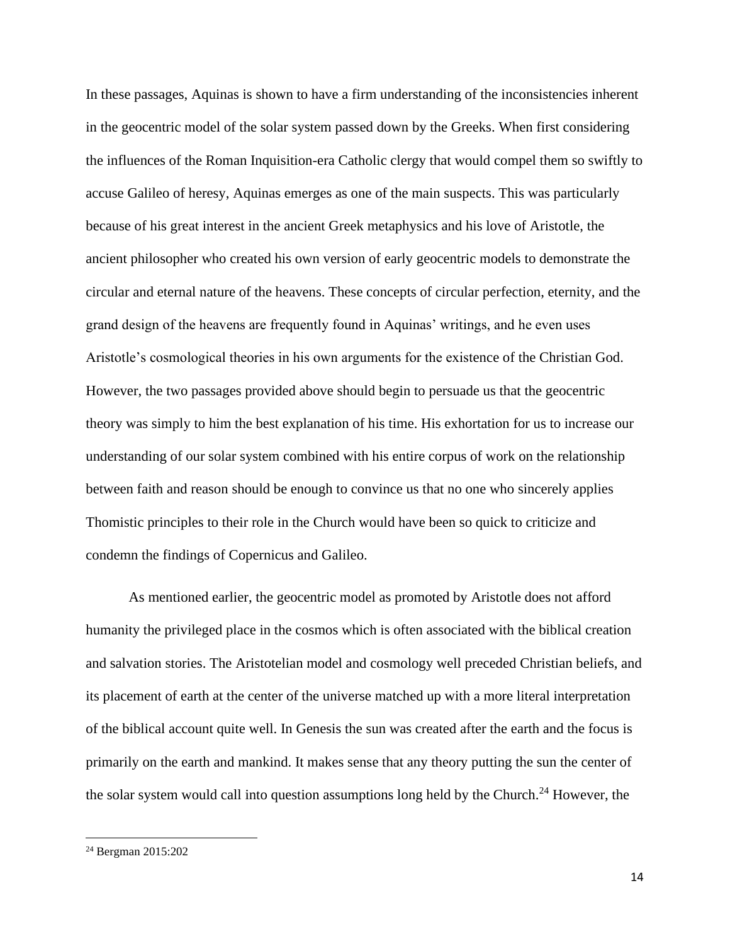In these passages, Aquinas is shown to have a firm understanding of the inconsistencies inherent in the geocentric model of the solar system passed down by the Greeks. When first considering the influences of the Roman Inquisition-era Catholic clergy that would compel them so swiftly to accuse Galileo of heresy, Aquinas emerges as one of the main suspects. This was particularly because of his great interest in the ancient Greek metaphysics and his love of Aristotle, the ancient philosopher who created his own version of early geocentric models to demonstrate the circular and eternal nature of the heavens. These concepts of circular perfection, eternity, and the grand design of the heavens are frequently found in Aquinas' writings, and he even uses Aristotle's cosmological theories in his own arguments for the existence of the Christian God. However, the two passages provided above should begin to persuade us that the geocentric theory was simply to him the best explanation of his time. His exhortation for us to increase our understanding of our solar system combined with his entire corpus of work on the relationship between faith and reason should be enough to convince us that no one who sincerely applies Thomistic principles to their role in the Church would have been so quick to criticize and condemn the findings of Copernicus and Galileo.

As mentioned earlier, the geocentric model as promoted by Aristotle does not afford humanity the privileged place in the cosmos which is often associated with the biblical creation and salvation stories. The Aristotelian model and cosmology well preceded Christian beliefs, and its placement of earth at the center of the universe matched up with a more literal interpretation of the biblical account quite well. In Genesis the sun was created after the earth and the focus is primarily on the earth and mankind. It makes sense that any theory putting the sun the center of the solar system would call into question assumptions long held by the Church.<sup>24</sup> However, the

<sup>24</sup> Bergman 2015:202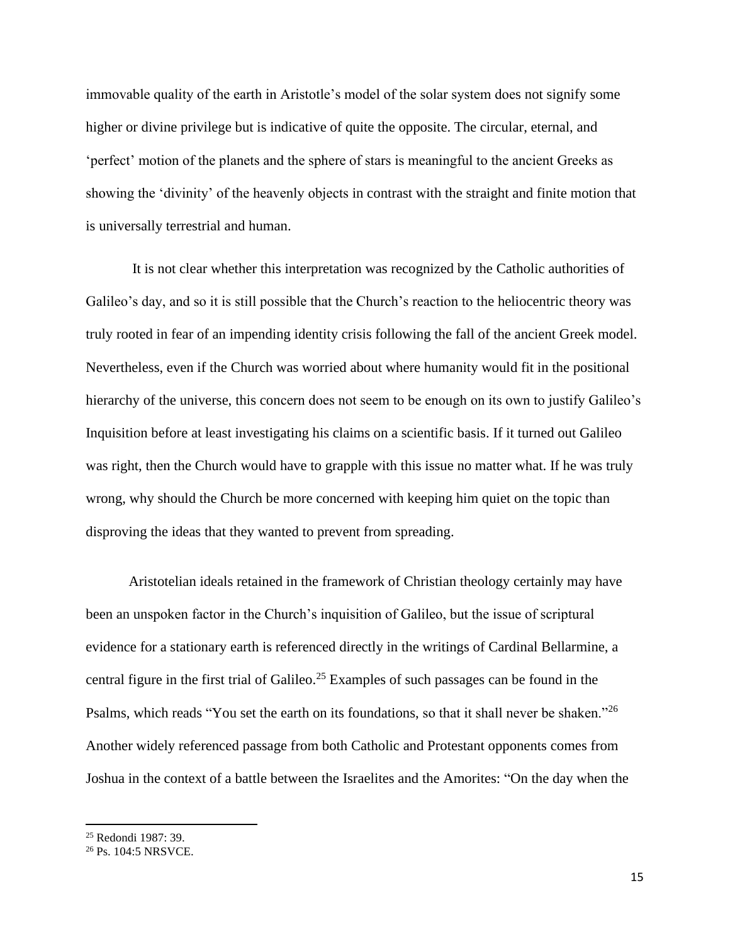immovable quality of the earth in Aristotle's model of the solar system does not signify some higher or divine privilege but is indicative of quite the opposite. The circular, eternal, and 'perfect' motion of the planets and the sphere of stars is meaningful to the ancient Greeks as showing the 'divinity' of the heavenly objects in contrast with the straight and finite motion that is universally terrestrial and human.

It is not clear whether this interpretation was recognized by the Catholic authorities of Galileo's day, and so it is still possible that the Church's reaction to the heliocentric theory was truly rooted in fear of an impending identity crisis following the fall of the ancient Greek model. Nevertheless, even if the Church was worried about where humanity would fit in the positional hierarchy of the universe, this concern does not seem to be enough on its own to justify Galileo's Inquisition before at least investigating his claims on a scientific basis. If it turned out Galileo was right, then the Church would have to grapple with this issue no matter what. If he was truly wrong, why should the Church be more concerned with keeping him quiet on the topic than disproving the ideas that they wanted to prevent from spreading.

Aristotelian ideals retained in the framework of Christian theology certainly may have been an unspoken factor in the Church's inquisition of Galileo, but the issue of scriptural evidence for a stationary earth is referenced directly in the writings of Cardinal Bellarmine, a central figure in the first trial of Galileo.<sup>25</sup> Examples of such passages can be found in the Psalms, which reads "You set the earth on its foundations, so that it shall never be shaken."<sup>26</sup> Another widely referenced passage from both Catholic and Protestant opponents comes from Joshua in the context of a battle between the Israelites and the Amorites: "On the day when the

<sup>25</sup> Redondi 1987: 39.

<sup>26</sup> Ps. 104:5 NRSVCE.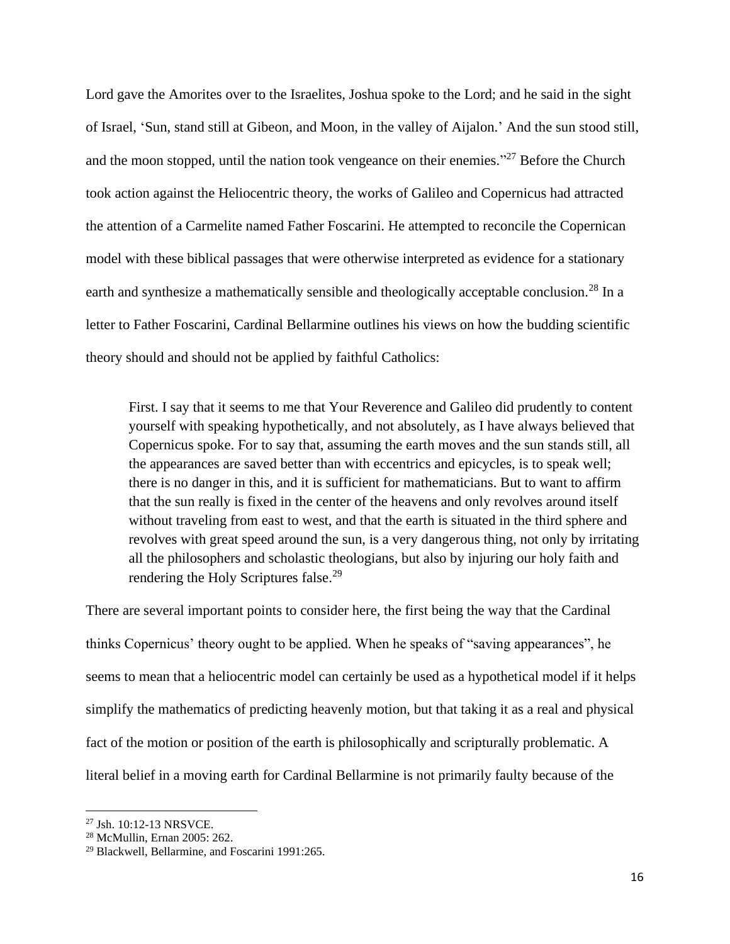Lord gave the Amorites over to the Israelites, Joshua spoke to the Lord; and he said in the sight of Israel, 'Sun, stand still at Gibeon, and Moon, in the valley of Aijalon.' And the sun stood still, and the moon stopped, until the nation took vengeance on their enemies."<sup>27</sup> Before the Church took action against the Heliocentric theory, the works of Galileo and Copernicus had attracted the attention of a Carmelite named Father Foscarini. He attempted to reconcile the Copernican model with these biblical passages that were otherwise interpreted as evidence for a stationary earth and synthesize a mathematically sensible and theologically acceptable conclusion.<sup>28</sup> In a letter to Father Foscarini, Cardinal Bellarmine outlines his views on how the budding scientific theory should and should not be applied by faithful Catholics:

First. I say that it seems to me that Your Reverence and Galileo did prudently to content yourself with speaking hypothetically, and not absolutely, as I have always believed that Copernicus spoke. For to say that, assuming the earth moves and the sun stands still, all the appearances are saved better than with eccentrics and epicycles, is to speak well; there is no danger in this, and it is sufficient for mathematicians. But to want to affirm that the sun really is fixed in the center of the heavens and only revolves around itself without traveling from east to west, and that the earth is situated in the third sphere and revolves with great speed around the sun, is a very dangerous thing, not only by irritating all the philosophers and scholastic theologians, but also by injuring our holy faith and rendering the Holy Scriptures false.<sup>29</sup>

There are several important points to consider here, the first being the way that the Cardinal thinks Copernicus' theory ought to be applied. When he speaks of "saving appearances", he seems to mean that a heliocentric model can certainly be used as a hypothetical model if it helps simplify the mathematics of predicting heavenly motion, but that taking it as a real and physical fact of the motion or position of the earth is philosophically and scripturally problematic. A literal belief in a moving earth for Cardinal Bellarmine is not primarily faulty because of the

<sup>27</sup> Jsh. 10:12-13 NRSVCE.

<sup>28</sup> McMullin, Ernan 2005: 262.

<sup>29</sup> Blackwell, Bellarmine, and Foscarini 1991:265.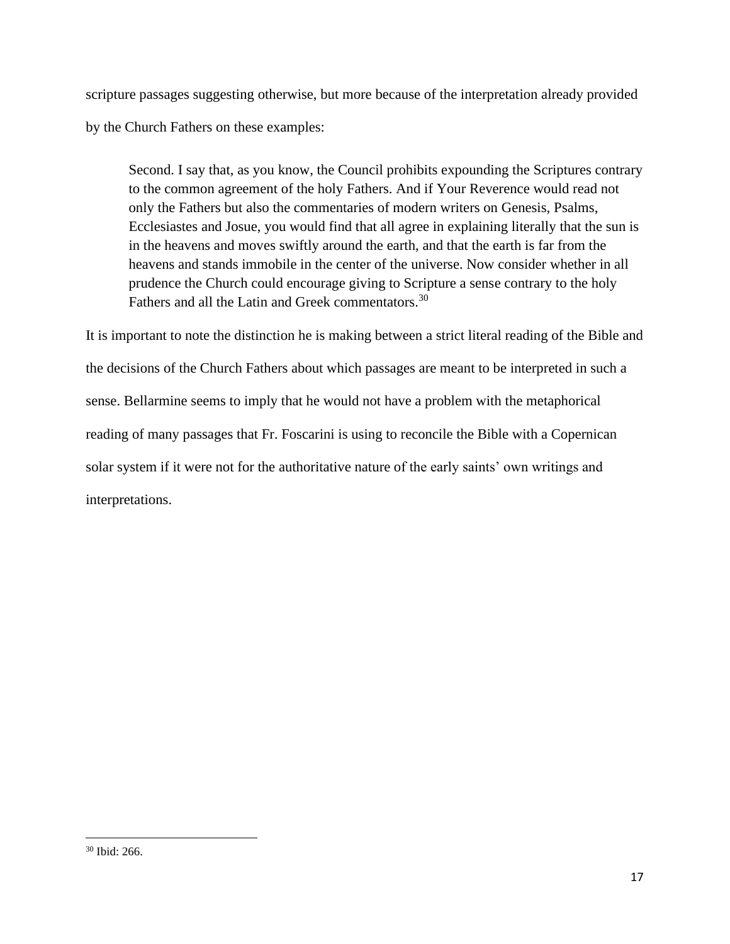scripture passages suggesting otherwise, but more because of the interpretation already provided by the Church Fathers on these examples:

Second. I say that, as you know, the Council prohibits expounding the Scriptures contrary to the common agreement of the holy Fathers. And if Your Reverence would read not only the Fathers but also the commentaries of modern writers on Genesis, Psalms, Ecclesiastes and Josue, you would find that all agree in explaining literally that the sun is in the heavens and moves swiftly around the earth, and that the earth is far from the heavens and stands immobile in the center of the universe. Now consider whether in all prudence the Church could encourage giving to Scripture a sense contrary to the holy Fathers and all the Latin and Greek commentators.<sup>30</sup>

It is important to note the distinction he is making between a strict literal reading of the Bible and the decisions of the Church Fathers about which passages are meant to be interpreted in such a sense. Bellarmine seems to imply that he would not have a problem with the metaphorical reading of many passages that Fr. Foscarini is using to reconcile the Bible with a Copernican solar system if it were not for the authoritative nature of the early saints' own writings and interpretations.

<sup>30</sup> Ibid: 266.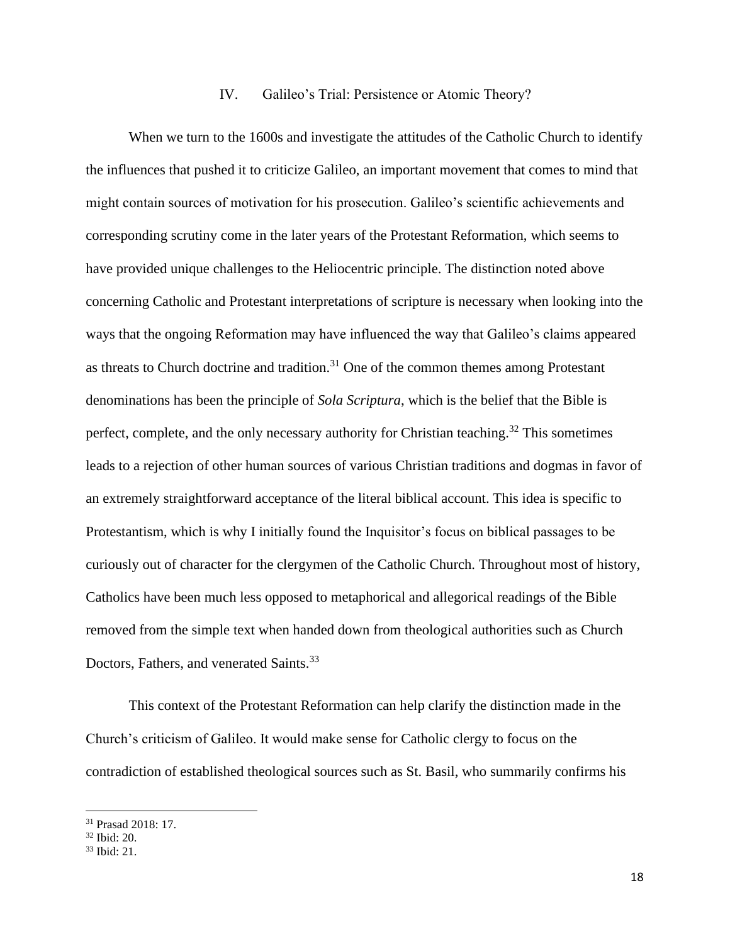#### IV. Galileo's Trial: Persistence or Atomic Theory?

When we turn to the 1600s and investigate the attitudes of the Catholic Church to identify the influences that pushed it to criticize Galileo, an important movement that comes to mind that might contain sources of motivation for his prosecution. Galileo's scientific achievements and corresponding scrutiny come in the later years of the Protestant Reformation, which seems to have provided unique challenges to the Heliocentric principle. The distinction noted above concerning Catholic and Protestant interpretations of scripture is necessary when looking into the ways that the ongoing Reformation may have influenced the way that Galileo's claims appeared as threats to Church doctrine and tradition.<sup>31</sup> One of the common themes among Protestant denominations has been the principle of *Sola Scriptura*, which is the belief that the Bible is perfect, complete, and the only necessary authority for Christian teaching.<sup>32</sup> This sometimes leads to a rejection of other human sources of various Christian traditions and dogmas in favor of an extremely straightforward acceptance of the literal biblical account. This idea is specific to Protestantism, which is why I initially found the Inquisitor's focus on biblical passages to be curiously out of character for the clergymen of the Catholic Church. Throughout most of history, Catholics have been much less opposed to metaphorical and allegorical readings of the Bible removed from the simple text when handed down from theological authorities such as Church Doctors, Fathers, and venerated Saints.<sup>33</sup>

This context of the Protestant Reformation can help clarify the distinction made in the Church's criticism of Galileo. It would make sense for Catholic clergy to focus on the contradiction of established theological sources such as St. Basil, who summarily confirms his

<sup>31</sup> Prasad 2018: 17.

 $32$  Ibid:  $20$ .

<sup>33</sup> Ibid: 21.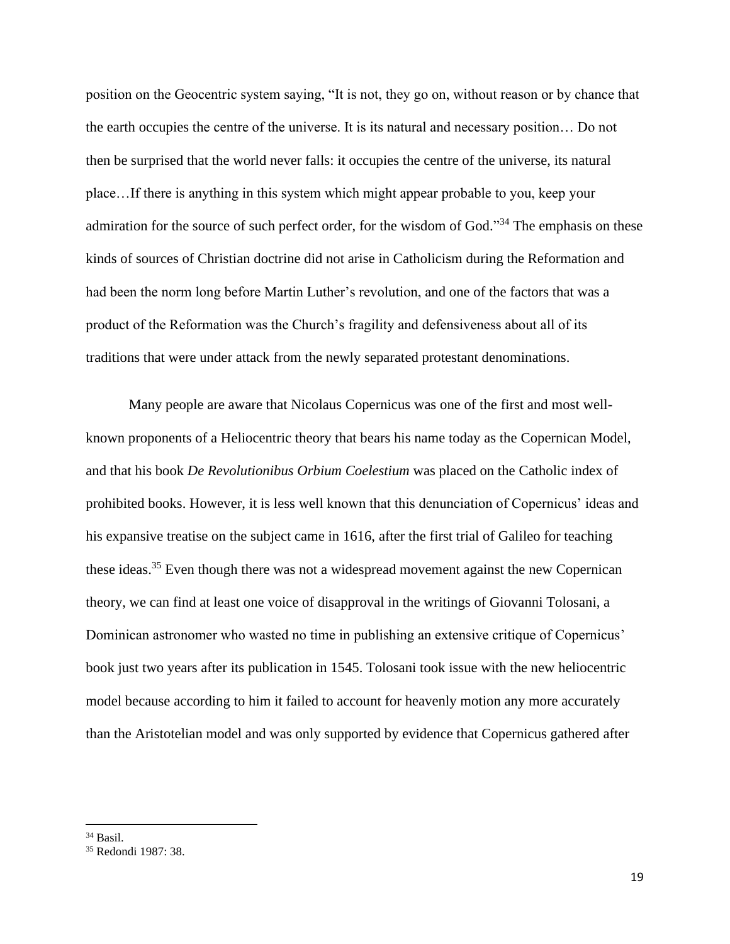position on the Geocentric system saying, "It is not, they go on, without reason or by chance that the earth occupies the centre of the universe. It is its natural and necessary position… Do not then be surprised that the world never falls: it occupies the centre of the universe, its natural place…If there is anything in this system which might appear probable to you, keep your admiration for the source of such perfect order, for the wisdom of God."<sup>34</sup> The emphasis on these kinds of sources of Christian doctrine did not arise in Catholicism during the Reformation and had been the norm long before Martin Luther's revolution, and one of the factors that was a product of the Reformation was the Church's fragility and defensiveness about all of its traditions that were under attack from the newly separated protestant denominations.

Many people are aware that Nicolaus Copernicus was one of the first and most wellknown proponents of a Heliocentric theory that bears his name today as the Copernican Model, and that his book *De Revolutionibus Orbium Coelestium* was placed on the Catholic index of prohibited books. However, it is less well known that this denunciation of Copernicus' ideas and his expansive treatise on the subject came in 1616, after the first trial of Galileo for teaching these ideas.<sup>35</sup> Even though there was not a widespread movement against the new Copernican theory, we can find at least one voice of disapproval in the writings of Giovanni Tolosani, a Dominican astronomer who wasted no time in publishing an extensive critique of Copernicus' book just two years after its publication in 1545. Tolosani took issue with the new heliocentric model because according to him it failed to account for heavenly motion any more accurately than the Aristotelian model and was only supported by evidence that Copernicus gathered after

<sup>34</sup> Basil.

<sup>35</sup> Redondi 1987: 38.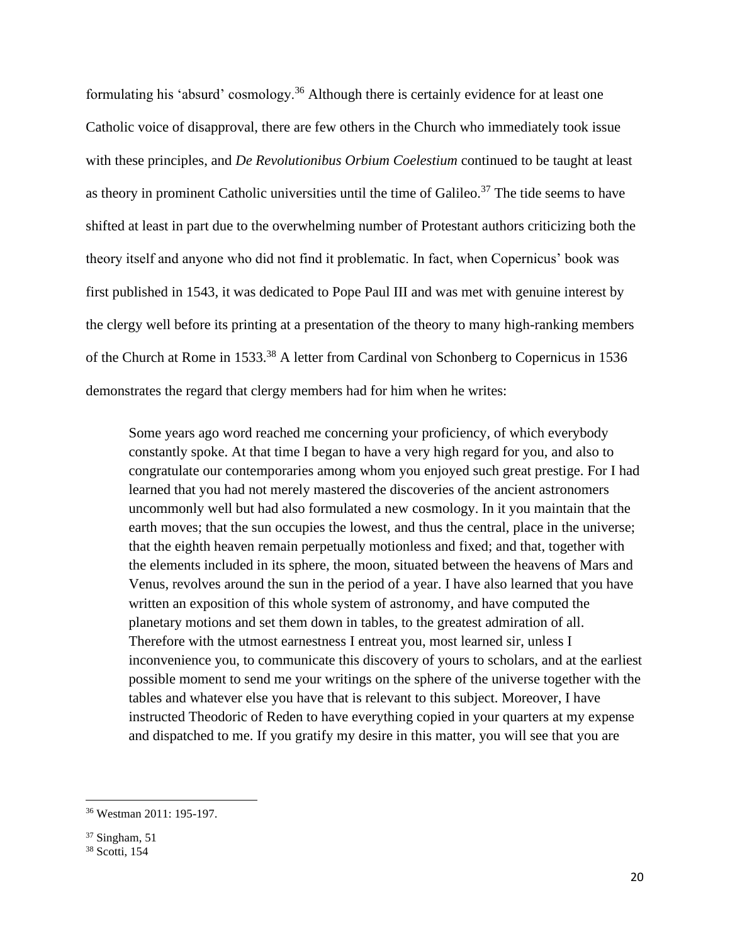formulating his 'absurd' cosmology.<sup>36</sup> Although there is certainly evidence for at least one Catholic voice of disapproval, there are few others in the Church who immediately took issue with these principles, and *De Revolutionibus Orbium Coelestium* continued to be taught at least as theory in prominent Catholic universities until the time of Galileo.<sup>37</sup> The tide seems to have shifted at least in part due to the overwhelming number of Protestant authors criticizing both the theory itself and anyone who did not find it problematic. In fact, when Copernicus' book was first published in 1543, it was dedicated to Pope Paul III and was met with genuine interest by the clergy well before its printing at a presentation of the theory to many high-ranking members of the Church at Rome in 1533.<sup>38</sup> A letter from Cardinal von Schonberg to Copernicus in 1536 demonstrates the regard that clergy members had for him when he writes:

Some years ago word reached me concerning your proficiency, of which everybody constantly spoke. At that time I began to have a very high regard for you, and also to congratulate our contemporaries among whom you enjoyed such great prestige. For I had learned that you had not merely mastered the discoveries of the ancient astronomers uncommonly well but had also formulated a new cosmology. In it you maintain that the earth moves; that the sun occupies the lowest, and thus the central, place in the universe; that the eighth heaven remain perpetually motionless and fixed; and that, together with the elements included in its sphere, the moon, situated between the heavens of Mars and Venus, revolves around the sun in the period of a year. I have also learned that you have written an exposition of this whole system of astronomy, and have computed the planetary motions and set them down in tables, to the greatest admiration of all. Therefore with the utmost earnestness I entreat you, most learned sir, unless I inconvenience you, to communicate this discovery of yours to scholars, and at the earliest possible moment to send me your writings on the sphere of the universe together with the tables and whatever else you have that is relevant to this subject. Moreover, I have instructed Theodoric of Reden to have everything copied in your quarters at my expense and dispatched to me. If you gratify my desire in this matter, you will see that you are

<sup>36</sup> Westman 2011: 195-197.

 $37$  Singham, 51

<sup>38</sup> Scotti, 154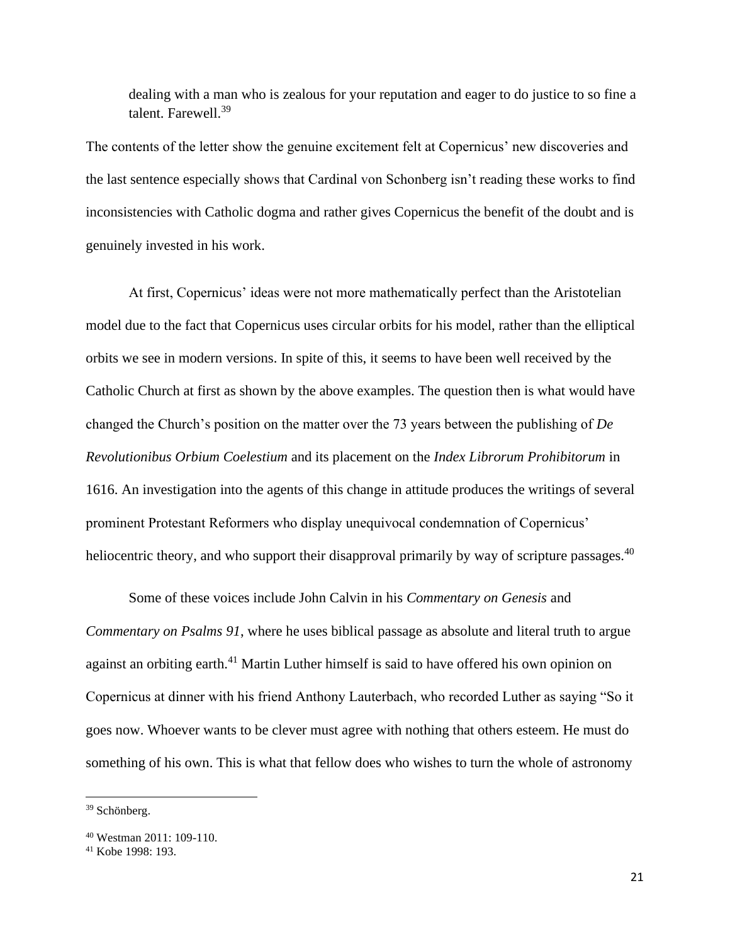dealing with a man who is zealous for your reputation and eager to do justice to so fine a talent. Farewell.<sup>39</sup>

The contents of the letter show the genuine excitement felt at Copernicus' new discoveries and the last sentence especially shows that Cardinal von Schonberg isn't reading these works to find inconsistencies with Catholic dogma and rather gives Copernicus the benefit of the doubt and is genuinely invested in his work.

At first, Copernicus' ideas were not more mathematically perfect than the Aristotelian model due to the fact that Copernicus uses circular orbits for his model, rather than the elliptical orbits we see in modern versions. In spite of this, it seems to have been well received by the Catholic Church at first as shown by the above examples. The question then is what would have changed the Church's position on the matter over the 73 years between the publishing of *De Revolutionibus Orbium Coelestium* and its placement on the *Index Librorum Prohibitorum* in 1616. An investigation into the agents of this change in attitude produces the writings of several prominent Protestant Reformers who display unequivocal condemnation of Copernicus' heliocentric theory, and who support their disapproval primarily by way of scripture passages.<sup>40</sup>

Some of these voices include John Calvin in his *Commentary on Genesis* and *Commentary on Psalms 91*, where he uses biblical passage as absolute and literal truth to argue against an orbiting earth.<sup>41</sup> Martin Luther himself is said to have offered his own opinion on Copernicus at dinner with his friend Anthony Lauterbach, who recorded Luther as saying "So it goes now. Whoever wants to be clever must agree with nothing that others esteem. He must do something of his own. This is what that fellow does who wishes to turn the whole of astronomy

<sup>39</sup> Schönberg.

<sup>40</sup> Westman 2011: 109-110.

<sup>41</sup> Kobe 1998: 193.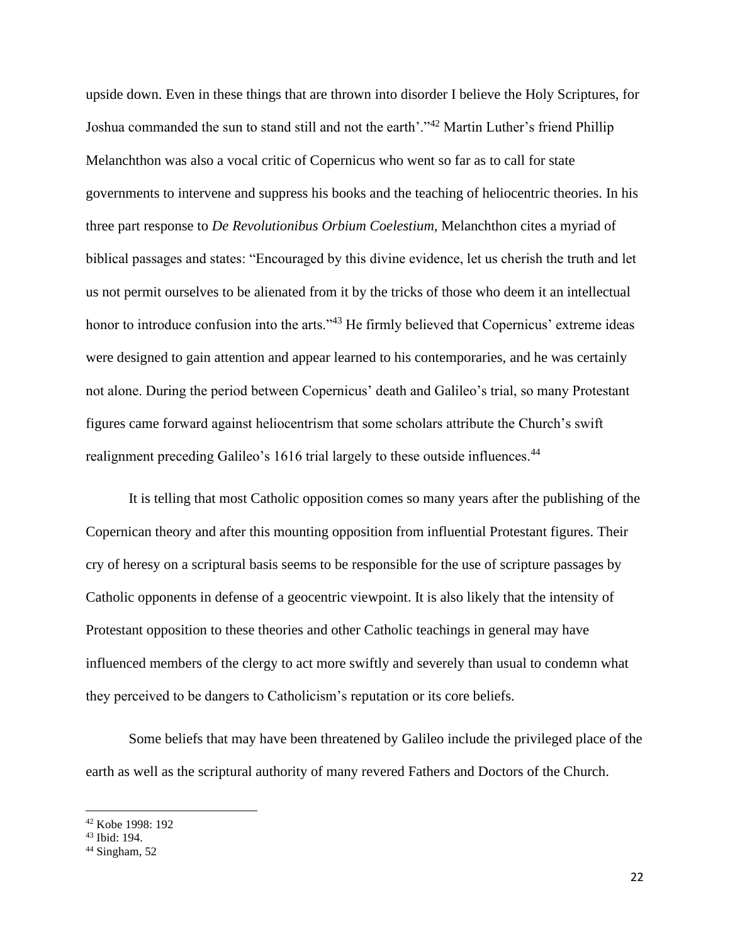upside down. Even in these things that are thrown into disorder I believe the Holy Scriptures, for Joshua commanded the sun to stand still and not the earth'."<sup>42</sup> Martin Luther's friend Phillip Melanchthon was also a vocal critic of Copernicus who went so far as to call for state governments to intervene and suppress his books and the teaching of heliocentric theories. In his three part response to *De Revolutionibus Orbium Coelestium,* Melanchthon cites a myriad of biblical passages and states: "Encouraged by this divine evidence, let us cherish the truth and let us not permit ourselves to be alienated from it by the tricks of those who deem it an intellectual honor to introduce confusion into the arts."<sup>43</sup> He firmly believed that Copernicus' extreme ideas were designed to gain attention and appear learned to his contemporaries, and he was certainly not alone. During the period between Copernicus' death and Galileo's trial, so many Protestant figures came forward against heliocentrism that some scholars attribute the Church's swift realignment preceding Galileo's 1616 trial largely to these outside influences.<sup>44</sup>

It is telling that most Catholic opposition comes so many years after the publishing of the Copernican theory and after this mounting opposition from influential Protestant figures. Their cry of heresy on a scriptural basis seems to be responsible for the use of scripture passages by Catholic opponents in defense of a geocentric viewpoint. It is also likely that the intensity of Protestant opposition to these theories and other Catholic teachings in general may have influenced members of the clergy to act more swiftly and severely than usual to condemn what they perceived to be dangers to Catholicism's reputation or its core beliefs.

Some beliefs that may have been threatened by Galileo include the privileged place of the earth as well as the scriptural authority of many revered Fathers and Doctors of the Church.

<sup>42</sup> Kobe 1998: 192

<sup>43</sup> Ibid: 194.

 $44$  Singham, 52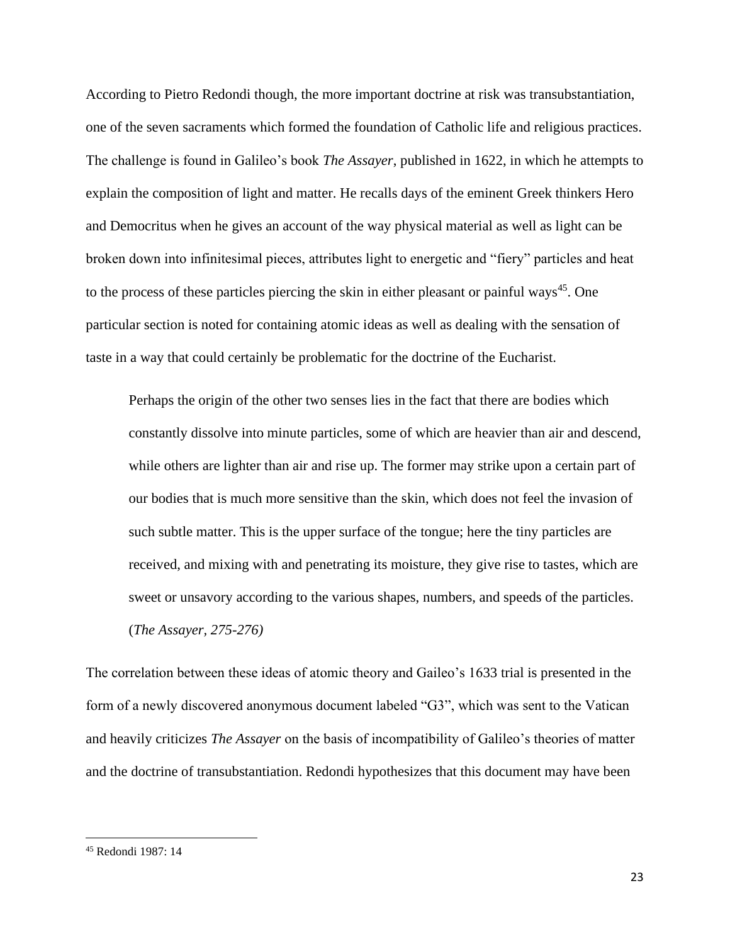According to Pietro Redondi though, the more important doctrine at risk was transubstantiation, one of the seven sacraments which formed the foundation of Catholic life and religious practices. The challenge is found in Galileo's book *The Assayer*, published in 1622, in which he attempts to explain the composition of light and matter. He recalls days of the eminent Greek thinkers Hero and Democritus when he gives an account of the way physical material as well as light can be broken down into infinitesimal pieces, attributes light to energetic and "fiery" particles and heat to the process of these particles piercing the skin in either pleasant or painful ways<sup>45</sup>. One particular section is noted for containing atomic ideas as well as dealing with the sensation of taste in a way that could certainly be problematic for the doctrine of the Eucharist.

Perhaps the origin of the other two senses lies in the fact that there are bodies which constantly dissolve into minute particles, some of which are heavier than air and descend, while others are lighter than air and rise up. The former may strike upon a certain part of our bodies that is much more sensitive than the skin, which does not feel the invasion of such subtle matter. This is the upper surface of the tongue; here the tiny particles are received, and mixing with and penetrating its moisture, they give rise to tastes, which are sweet or unsavory according to the various shapes, numbers, and speeds of the particles. (*The Assayer, 275-276)*

The correlation between these ideas of atomic theory and Gaileo's 1633 trial is presented in the form of a newly discovered anonymous document labeled "G3", which was sent to the Vatican and heavily criticizes *The Assayer* on the basis of incompatibility of Galileo's theories of matter and the doctrine of transubstantiation. Redondi hypothesizes that this document may have been

<sup>45</sup> Redondi 1987: 14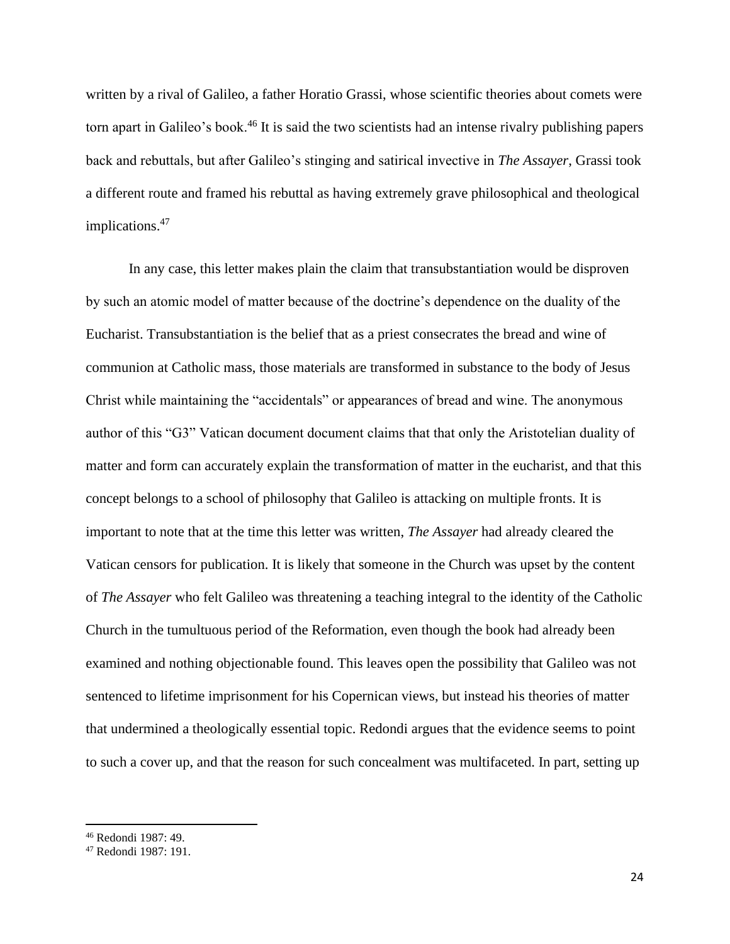written by a rival of Galileo, a father Horatio Grassi, whose scientific theories about comets were torn apart in Galileo's book.<sup>46</sup> It is said the two scientists had an intense rivalry publishing papers back and rebuttals, but after Galileo's stinging and satirical invective in *The Assayer*, Grassi took a different route and framed his rebuttal as having extremely grave philosophical and theological implications.<sup>47</sup>

In any case, this letter makes plain the claim that transubstantiation would be disproven by such an atomic model of matter because of the doctrine's dependence on the duality of the Eucharist. Transubstantiation is the belief that as a priest consecrates the bread and wine of communion at Catholic mass, those materials are transformed in substance to the body of Jesus Christ while maintaining the "accidentals" or appearances of bread and wine. The anonymous author of this "G3" Vatican document document claims that that only the Aristotelian duality of matter and form can accurately explain the transformation of matter in the eucharist, and that this concept belongs to a school of philosophy that Galileo is attacking on multiple fronts. It is important to note that at the time this letter was written, *The Assayer* had already cleared the Vatican censors for publication. It is likely that someone in the Church was upset by the content of *The Assayer* who felt Galileo was threatening a teaching integral to the identity of the Catholic Church in the tumultuous period of the Reformation, even though the book had already been examined and nothing objectionable found. This leaves open the possibility that Galileo was not sentenced to lifetime imprisonment for his Copernican views, but instead his theories of matter that undermined a theologically essential topic. Redondi argues that the evidence seems to point to such a cover up, and that the reason for such concealment was multifaceted. In part, setting up

<sup>46</sup> Redondi 1987: 49.

<sup>47</sup> Redondi 1987: 191.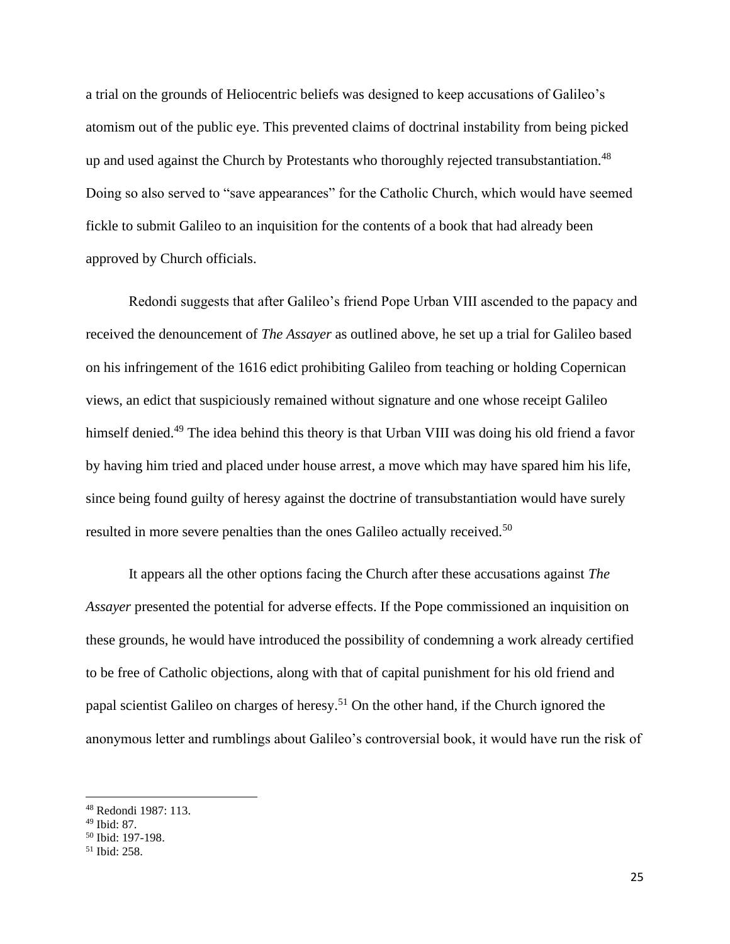a trial on the grounds of Heliocentric beliefs was designed to keep accusations of Galileo's atomism out of the public eye. This prevented claims of doctrinal instability from being picked up and used against the Church by Protestants who thoroughly rejected transubstantiation.<sup>48</sup> Doing so also served to "save appearances" for the Catholic Church, which would have seemed fickle to submit Galileo to an inquisition for the contents of a book that had already been approved by Church officials.

Redondi suggests that after Galileo's friend Pope Urban VIII ascended to the papacy and received the denouncement of *The Assayer* as outlined above, he set up a trial for Galileo based on his infringement of the 1616 edict prohibiting Galileo from teaching or holding Copernican views, an edict that suspiciously remained without signature and one whose receipt Galileo himself denied.<sup>49</sup> The idea behind this theory is that Urban VIII was doing his old friend a favor by having him tried and placed under house arrest, a move which may have spared him his life, since being found guilty of heresy against the doctrine of transubstantiation would have surely resulted in more severe penalties than the ones Galileo actually received.<sup>50</sup>

It appears all the other options facing the Church after these accusations against *The Assayer* presented the potential for adverse effects. If the Pope commissioned an inquisition on these grounds, he would have introduced the possibility of condemning a work already certified to be free of Catholic objections, along with that of capital punishment for his old friend and papal scientist Galileo on charges of heresy.<sup>51</sup> On the other hand, if the Church ignored the anonymous letter and rumblings about Galileo's controversial book, it would have run the risk of

<sup>48</sup> Redondi 1987: 113.

<sup>49</sup> Ibid: 87.

<sup>50</sup> Ibid: 197-198.

<sup>51</sup> Ibid: 258.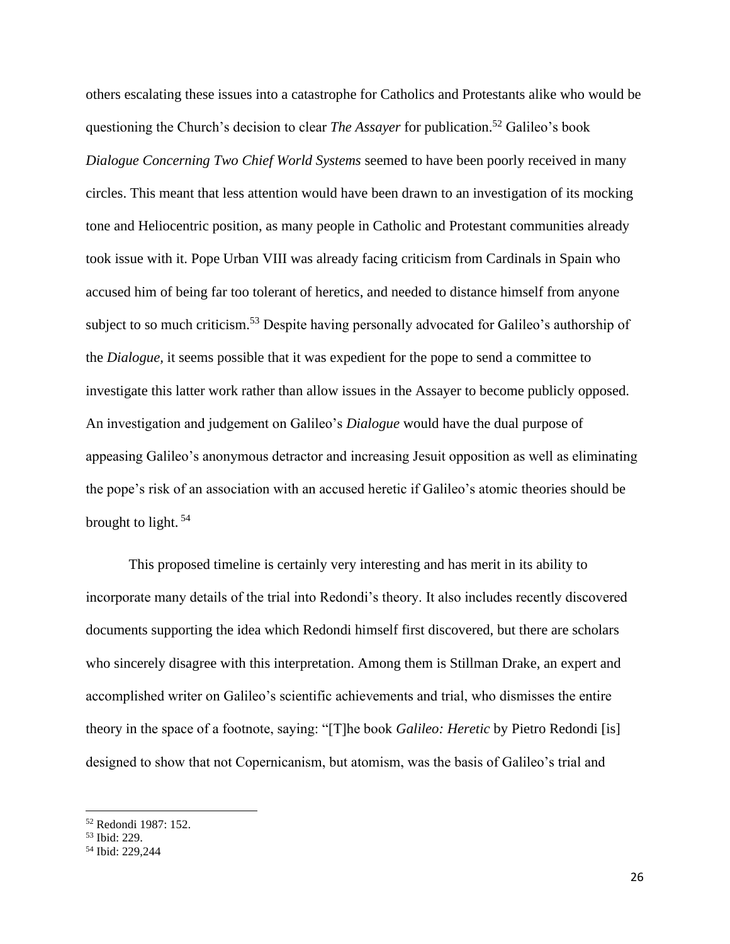others escalating these issues into a catastrophe for Catholics and Protestants alike who would be questioning the Church's decision to clear *The Assayer* for publication.<sup>52</sup> Galileo's book *Dialogue Concerning Two Chief World Systems* seemed to have been poorly received in many circles. This meant that less attention would have been drawn to an investigation of its mocking tone and Heliocentric position, as many people in Catholic and Protestant communities already took issue with it. Pope Urban VIII was already facing criticism from Cardinals in Spain who accused him of being far too tolerant of heretics, and needed to distance himself from anyone subject to so much criticism.<sup>53</sup> Despite having personally advocated for Galileo's authorship of the *Dialogue,* it seems possible that it was expedient for the pope to send a committee to investigate this latter work rather than allow issues in the Assayer to become publicly opposed. An investigation and judgement on Galileo's *Dialogue* would have the dual purpose of appeasing Galileo's anonymous detractor and increasing Jesuit opposition as well as eliminating the pope's risk of an association with an accused heretic if Galileo's atomic theories should be brought to light. <sup>54</sup>

This proposed timeline is certainly very interesting and has merit in its ability to incorporate many details of the trial into Redondi's theory. It also includes recently discovered documents supporting the idea which Redondi himself first discovered, but there are scholars who sincerely disagree with this interpretation. Among them is Stillman Drake, an expert and accomplished writer on Galileo's scientific achievements and trial, who dismisses the entire theory in the space of a footnote, saying: "[T]he book *Galileo: Heretic* by Pietro Redondi [is] designed to show that not Copernicanism, but atomism, was the basis of Galileo's trial and

<sup>52</sup> Redondi 1987: 152.

<sup>53</sup> Ibid: 229.

<sup>54</sup> Ibid: 229,244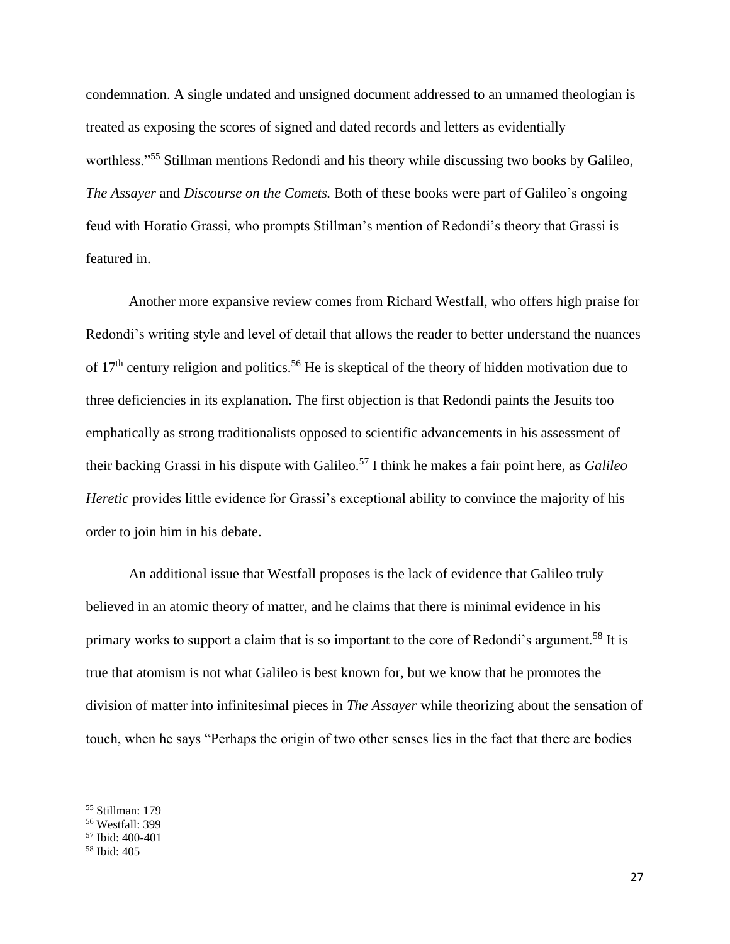condemnation. A single undated and unsigned document addressed to an unnamed theologian is treated as exposing the scores of signed and dated records and letters as evidentially worthless."<sup>55</sup> Stillman mentions Redondi and his theory while discussing two books by Galileo, *The Assayer* and *Discourse on the Comets.* Both of these books were part of Galileo's ongoing feud with Horatio Grassi, who prompts Stillman's mention of Redondi's theory that Grassi is featured in.

Another more expansive review comes from Richard Westfall, who offers high praise for Redondi's writing style and level of detail that allows the reader to better understand the nuances of  $17<sup>th</sup>$  century religion and politics.<sup>56</sup> He is skeptical of the theory of hidden motivation due to three deficiencies in its explanation. The first objection is that Redondi paints the Jesuits too emphatically as strong traditionalists opposed to scientific advancements in his assessment of their backing Grassi in his dispute with Galileo.<sup>57</sup> I think he makes a fair point here, as *Galileo Heretic* provides little evidence for Grassi's exceptional ability to convince the majority of his order to join him in his debate.

An additional issue that Westfall proposes is the lack of evidence that Galileo truly believed in an atomic theory of matter, and he claims that there is minimal evidence in his primary works to support a claim that is so important to the core of Redondi's argument.<sup>58</sup> It is true that atomism is not what Galileo is best known for, but we know that he promotes the division of matter into infinitesimal pieces in *The Assayer* while theorizing about the sensation of touch, when he says "Perhaps the origin of two other senses lies in the fact that there are bodies

<sup>55</sup> Stillman: 179

<sup>56</sup> Westfall: 399

<sup>57</sup> Ibid: 400-401

<sup>58</sup> Ibid: 405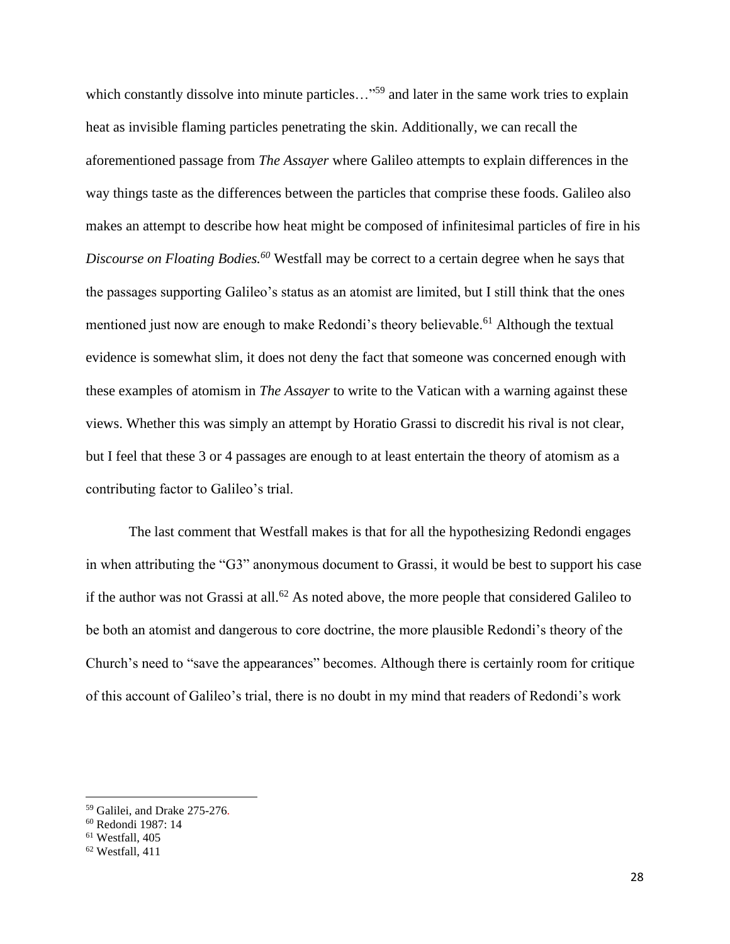which constantly dissolve into minute particles..."<sup>59</sup> and later in the same work tries to explain heat as invisible flaming particles penetrating the skin. Additionally, we can recall the aforementioned passage from *The Assayer* where Galileo attempts to explain differences in the way things taste as the differences between the particles that comprise these foods. Galileo also makes an attempt to describe how heat might be composed of infinitesimal particles of fire in his *Discourse on Floating Bodies.<sup>60</sup>* Westfall may be correct to a certain degree when he says that the passages supporting Galileo's status as an atomist are limited, but I still think that the ones mentioned just now are enough to make Redondi's theory believable.<sup>61</sup> Although the textual evidence is somewhat slim, it does not deny the fact that someone was concerned enough with these examples of atomism in *The Assayer* to write to the Vatican with a warning against these views. Whether this was simply an attempt by Horatio Grassi to discredit his rival is not clear, but I feel that these 3 or 4 passages are enough to at least entertain the theory of atomism as a contributing factor to Galileo's trial.

The last comment that Westfall makes is that for all the hypothesizing Redondi engages in when attributing the "G3" anonymous document to Grassi, it would be best to support his case if the author was not Grassi at all.<sup>62</sup> As noted above, the more people that considered Galileo to be both an atomist and dangerous to core doctrine, the more plausible Redondi's theory of the Church's need to "save the appearances" becomes. Although there is certainly room for critique of this account of Galileo's trial, there is no doubt in my mind that readers of Redondi's work

<sup>59</sup> Galilei, and Drake 275-276.

<sup>60</sup> Redondi 1987: 14

 $61$  Westfall, 405

<sup>62</sup> Westfall, 411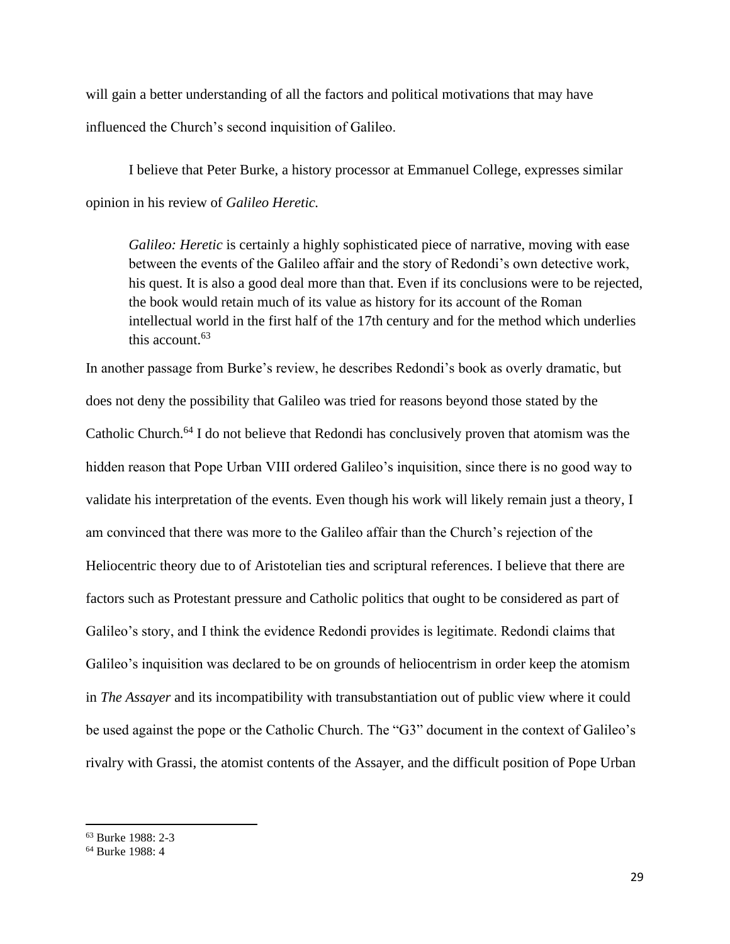will gain a better understanding of all the factors and political motivations that may have influenced the Church's second inquisition of Galileo.

I believe that Peter Burke, a history processor at Emmanuel College, expresses similar opinion in his review of *Galileo Heretic.*

*Galileo: Heretic* is certainly a highly sophisticated piece of narrative, moving with ease between the events of the Galileo affair and the story of Redondi's own detective work, his quest. It is also a good deal more than that. Even if its conclusions were to be rejected, the book would retain much of its value as history for its account of the Roman intellectual world in the first half of the 17th century and for the method which underlies this account.  $63$ 

In another passage from Burke's review, he describes Redondi's book as overly dramatic, but does not deny the possibility that Galileo was tried for reasons beyond those stated by the Catholic Church.<sup>64</sup> I do not believe that Redondi has conclusively proven that atomism was the hidden reason that Pope Urban VIII ordered Galileo's inquisition, since there is no good way to validate his interpretation of the events. Even though his work will likely remain just a theory, I am convinced that there was more to the Galileo affair than the Church's rejection of the Heliocentric theory due to of Aristotelian ties and scriptural references. I believe that there are factors such as Protestant pressure and Catholic politics that ought to be considered as part of Galileo's story, and I think the evidence Redondi provides is legitimate. Redondi claims that Galileo's inquisition was declared to be on grounds of heliocentrism in order keep the atomism in *The Assayer* and its incompatibility with transubstantiation out of public view where it could be used against the pope or the Catholic Church. The "G3" document in the context of Galileo's rivalry with Grassi, the atomist contents of the Assayer, and the difficult position of Pope Urban

<sup>63</sup> Burke 1988: 2-3

<sup>64</sup> Burke 1988: 4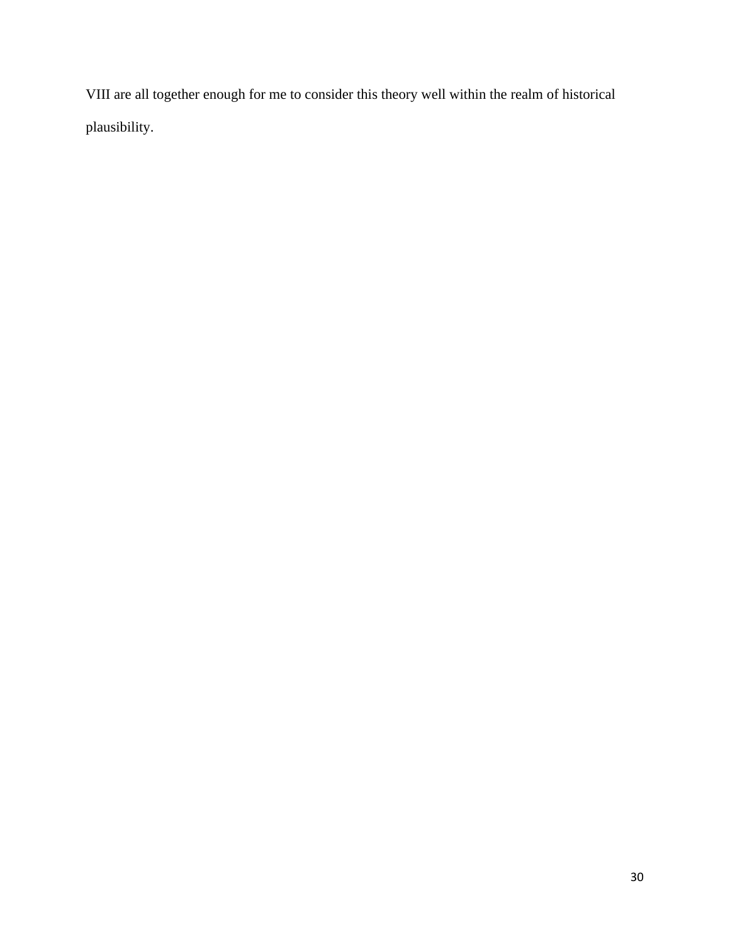VIII are all together enough for me to consider this theory well within the realm of historical plausibility.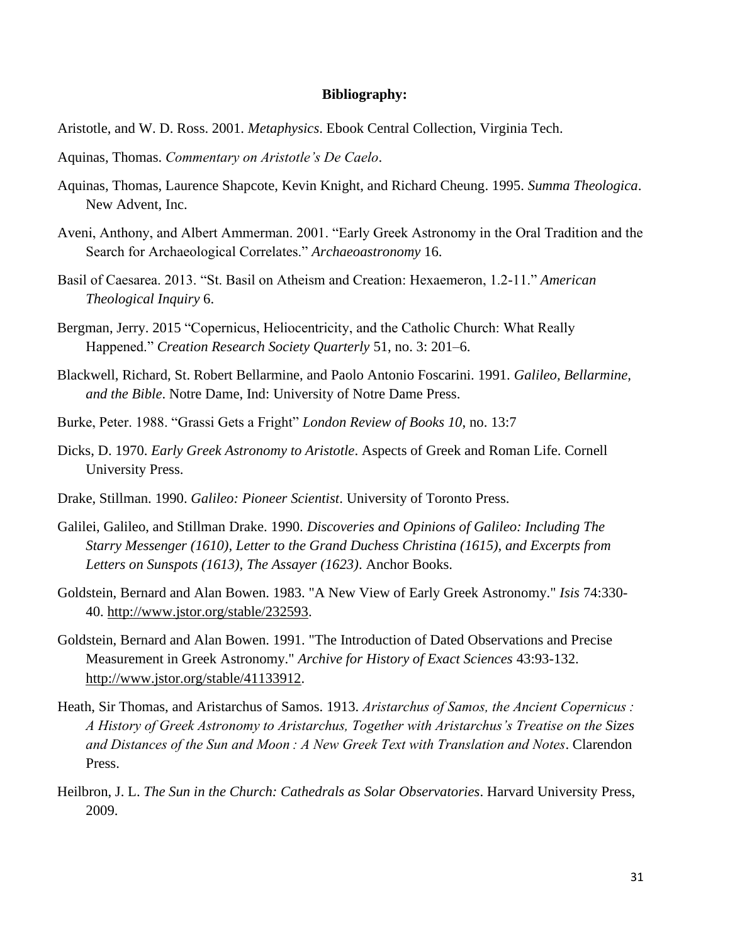#### **Bibliography:**

Aristotle, and W. D. Ross. 2001. *Metaphysics*. Ebook Central Collection, Virginia Tech.

- Aquinas, Thomas. *Commentary on Aristotle's De Caelo*.
- Aquinas, Thomas, Laurence Shapcote, Kevin Knight, and Richard Cheung. 1995. *Summa Theologica*. New Advent, Inc.
- Aveni, Anthony, and Albert Ammerman. 2001. "Early Greek Astronomy in the Oral Tradition and the Search for Archaeological Correlates." *Archaeoastronomy* 16.
- Basil of Caesarea. 2013. "St. Basil on Atheism and Creation: Hexaemeron, 1.2-11." *American Theological Inquiry* 6.
- Bergman, Jerry. 2015 "Copernicus, Heliocentricity, and the Catholic Church: What Really Happened." *Creation Research Society Quarterly* 51, no. 3: 201–6.
- Blackwell, Richard, St. Robert Bellarmine, and Paolo Antonio Foscarini. 1991. *Galileo, Bellarmine, and the Bible*. Notre Dame, Ind: University of Notre Dame Press.
- Burke, Peter. 1988. "Grassi Gets a Fright" *London Review of Books 10*, no. 13:7
- Dicks, D. 1970. *Early Greek Astronomy to Aristotle*. Aspects of Greek and Roman Life. Cornell University Press.
- Drake, Stillman. 1990. *Galileo: Pioneer Scientist*. University of Toronto Press.
- Galilei, Galileo, and Stillman Drake. 1990. *Discoveries and Opinions of Galileo: Including The Starry Messenger (1610), Letter to the Grand Duchess Christina (1615), and Excerpts from Letters on Sunspots (1613), The Assayer (1623)*. Anchor Books.
- Goldstein, Bernard and Alan Bowen. 1983. "A New View of Early Greek Astronomy." *Isis* 74:330- 40. [http://www.jstor.org/stable/232593.](about:blank)
- Goldstein, Bernard and Alan Bowen. 1991. "The Introduction of Dated Observations and Precise Measurement in Greek Astronomy." *Archive for History of Exact Sciences* 43:93-132. [http://www.jstor.org/stable/41133912.](about:blank)
- Heath, Sir Thomas, and Aristarchus of Samos. 1913. *Aristarchus of Samos, the Ancient Copernicus : A History of Greek Astronomy to Aristarchus, Together with Aristarchus's Treatise on the Sizes and Distances of the Sun and Moon : A New Greek Text with Translation and Notes*. Clarendon Press.
- Heilbron, J. L. *The Sun in the Church: Cathedrals as Solar Observatories*. Harvard University Press, 2009.